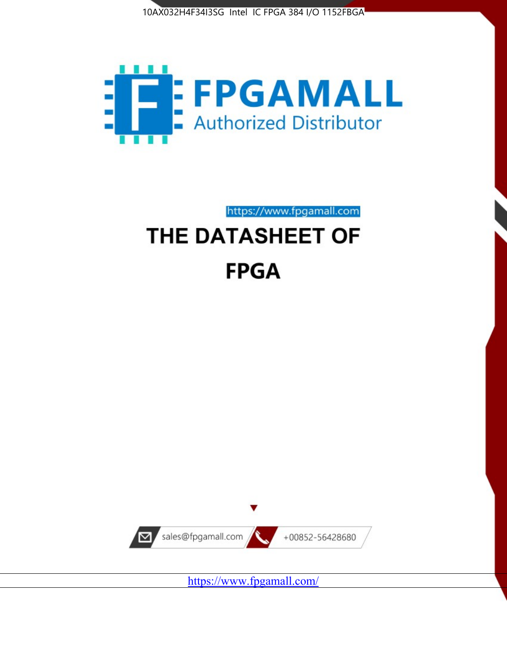



https://www.fpgamall.com THE DATASHEET OF

# **FPGA**



<https://www.fpgamall.com/>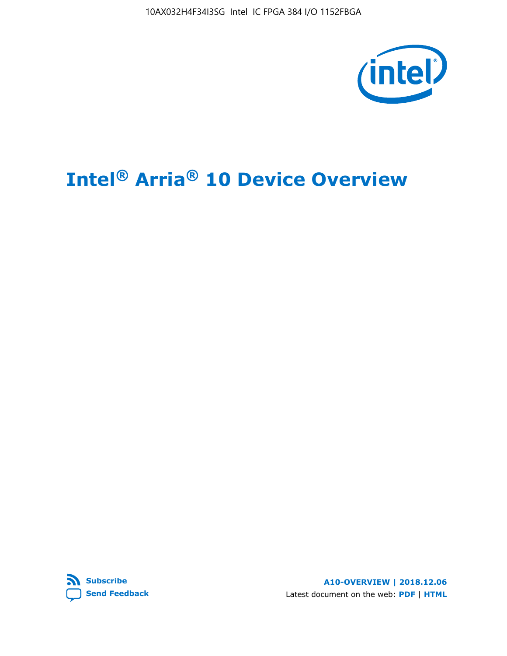

# **Intel® Arria® 10 Device Overview**



**A10-OVERVIEW | 2018.12.06** Latest document on the web: **[PDF](https://www.intel.com/content/dam/www/programmable/us/en/pdfs/literature/hb/arria-10/a10_overview.pdf)** | **[HTML](https://www.intel.com/content/www/us/en/programmable/documentation/sam1403480274650.html)**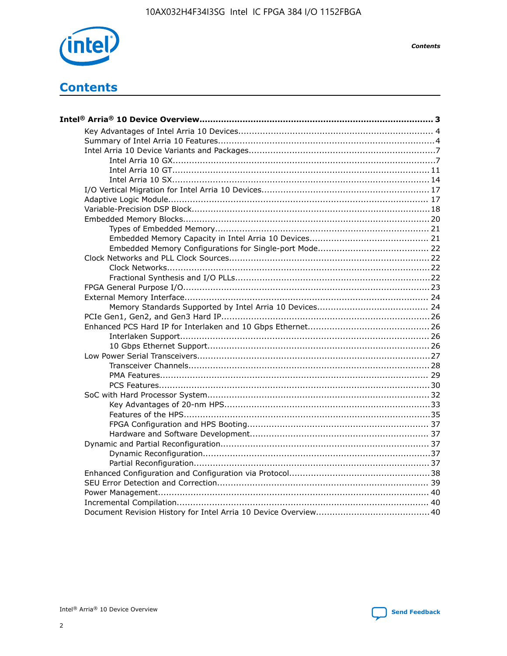

**Contents** 

# **Contents**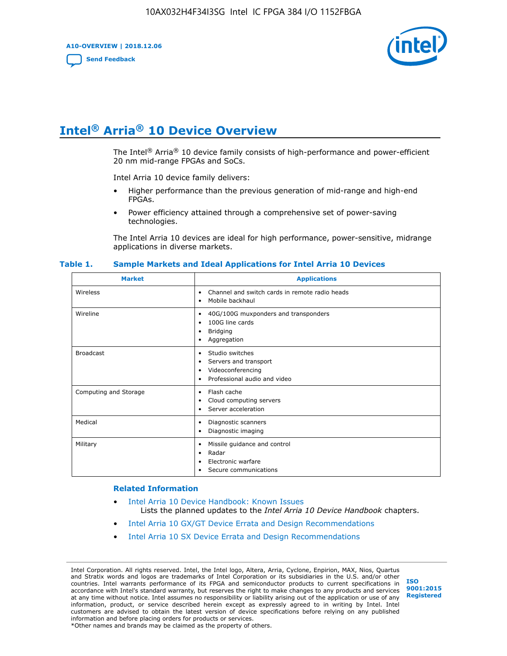**A10-OVERVIEW | 2018.12.06**

**[Send Feedback](mailto:FPGAtechdocfeedback@intel.com?subject=Feedback%20on%20Intel%20Arria%2010%20Device%20Overview%20(A10-OVERVIEW%202018.12.06)&body=We%20appreciate%20your%20feedback.%20In%20your%20comments,%20also%20specify%20the%20page%20number%20or%20paragraph.%20Thank%20you.)**



# **Intel® Arria® 10 Device Overview**

The Intel<sup>®</sup> Arria<sup>®</sup> 10 device family consists of high-performance and power-efficient 20 nm mid-range FPGAs and SoCs.

Intel Arria 10 device family delivers:

- Higher performance than the previous generation of mid-range and high-end FPGAs.
- Power efficiency attained through a comprehensive set of power-saving technologies.

The Intel Arria 10 devices are ideal for high performance, power-sensitive, midrange applications in diverse markets.

| <b>Market</b>         | <b>Applications</b>                                                                                               |
|-----------------------|-------------------------------------------------------------------------------------------------------------------|
| Wireless              | Channel and switch cards in remote radio heads<br>٠<br>Mobile backhaul<br>٠                                       |
| Wireline              | 40G/100G muxponders and transponders<br>٠<br>100G line cards<br>٠<br><b>Bridging</b><br>٠<br>Aggregation<br>٠     |
| <b>Broadcast</b>      | Studio switches<br>٠<br>Servers and transport<br>٠<br>Videoconferencing<br>٠<br>Professional audio and video<br>٠ |
| Computing and Storage | Flash cache<br>٠<br>Cloud computing servers<br>٠<br>Server acceleration<br>٠                                      |
| Medical               | Diagnostic scanners<br>٠<br>Diagnostic imaging<br>٠                                                               |
| Military              | Missile guidance and control<br>٠<br>Radar<br>٠<br>Electronic warfare<br>٠<br>Secure communications<br>٠          |

#### **Table 1. Sample Markets and Ideal Applications for Intel Arria 10 Devices**

#### **Related Information**

- [Intel Arria 10 Device Handbook: Known Issues](http://www.altera.com/support/kdb/solutions/rd07302013_646.html) Lists the planned updates to the *Intel Arria 10 Device Handbook* chapters.
- [Intel Arria 10 GX/GT Device Errata and Design Recommendations](https://www.intel.com/content/www/us/en/programmable/documentation/agz1493851706374.html#yqz1494433888646)
- [Intel Arria 10 SX Device Errata and Design Recommendations](https://www.intel.com/content/www/us/en/programmable/documentation/cru1462832385668.html#cru1462832558642)

Intel Corporation. All rights reserved. Intel, the Intel logo, Altera, Arria, Cyclone, Enpirion, MAX, Nios, Quartus and Stratix words and logos are trademarks of Intel Corporation or its subsidiaries in the U.S. and/or other countries. Intel warrants performance of its FPGA and semiconductor products to current specifications in accordance with Intel's standard warranty, but reserves the right to make changes to any products and services at any time without notice. Intel assumes no responsibility or liability arising out of the application or use of any information, product, or service described herein except as expressly agreed to in writing by Intel. Intel customers are advised to obtain the latest version of device specifications before relying on any published information and before placing orders for products or services. \*Other names and brands may be claimed as the property of others.

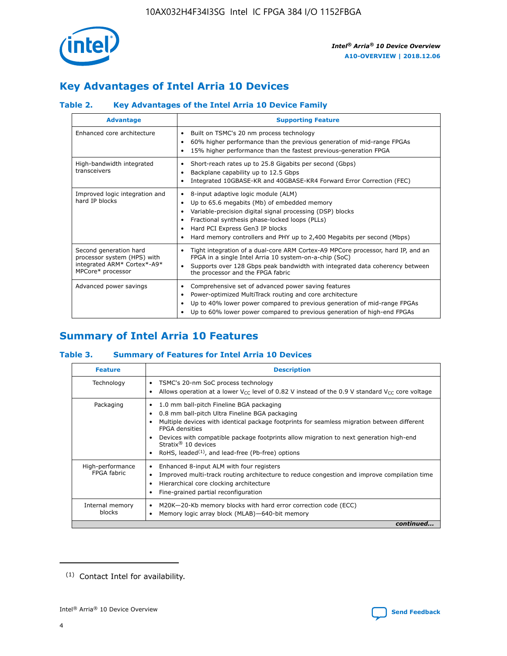

# **Key Advantages of Intel Arria 10 Devices**

# **Table 2. Key Advantages of the Intel Arria 10 Device Family**

| <b>Advantage</b>                                                                                          | <b>Supporting Feature</b>                                                                                                                                                                                                                                                                                                |  |  |  |  |  |  |
|-----------------------------------------------------------------------------------------------------------|--------------------------------------------------------------------------------------------------------------------------------------------------------------------------------------------------------------------------------------------------------------------------------------------------------------------------|--|--|--|--|--|--|
| Enhanced core architecture                                                                                | Built on TSMC's 20 nm process technology<br>٠<br>60% higher performance than the previous generation of mid-range FPGAs<br>٠<br>15% higher performance than the fastest previous-generation FPGA<br>٠                                                                                                                    |  |  |  |  |  |  |
| High-bandwidth integrated<br>transceivers                                                                 | Short-reach rates up to 25.8 Gigabits per second (Gbps)<br>٠<br>Backplane capability up to 12.5 Gbps<br>٠<br>Integrated 10GBASE-KR and 40GBASE-KR4 Forward Error Correction (FEC)<br>٠                                                                                                                                   |  |  |  |  |  |  |
| Improved logic integration and<br>hard IP blocks                                                          | 8-input adaptive logic module (ALM)<br>٠<br>Up to 65.6 megabits (Mb) of embedded memory<br>٠<br>Variable-precision digital signal processing (DSP) blocks<br>Fractional synthesis phase-locked loops (PLLs)<br>Hard PCI Express Gen3 IP blocks<br>Hard memory controllers and PHY up to 2,400 Megabits per second (Mbps) |  |  |  |  |  |  |
| Second generation hard<br>processor system (HPS) with<br>integrated ARM* Cortex*-A9*<br>MPCore* processor | Tight integration of a dual-core ARM Cortex-A9 MPCore processor, hard IP, and an<br>٠<br>FPGA in a single Intel Arria 10 system-on-a-chip (SoC)<br>Supports over 128 Gbps peak bandwidth with integrated data coherency between<br>$\bullet$<br>the processor and the FPGA fabric                                        |  |  |  |  |  |  |
| Advanced power savings                                                                                    | Comprehensive set of advanced power saving features<br>٠<br>Power-optimized MultiTrack routing and core architecture<br>٠<br>Up to 40% lower power compared to previous generation of mid-range FPGAs<br>Up to 60% lower power compared to previous generation of high-end FPGAs                                         |  |  |  |  |  |  |

# **Summary of Intel Arria 10 Features**

## **Table 3. Summary of Features for Intel Arria 10 Devices**

| <b>Feature</b>                  | <b>Description</b>                                                                                                                                                                                                                                                                                                                                                                                 |
|---------------------------------|----------------------------------------------------------------------------------------------------------------------------------------------------------------------------------------------------------------------------------------------------------------------------------------------------------------------------------------------------------------------------------------------------|
| Technology                      | TSMC's 20-nm SoC process technology<br>Allows operation at a lower $V_{\text{CC}}$ level of 0.82 V instead of the 0.9 V standard $V_{\text{CC}}$ core voltage                                                                                                                                                                                                                                      |
| Packaging                       | 1.0 mm ball-pitch Fineline BGA packaging<br>٠<br>0.8 mm ball-pitch Ultra Fineline BGA packaging<br>Multiple devices with identical package footprints for seamless migration between different<br><b>FPGA</b> densities<br>Devices with compatible package footprints allow migration to next generation high-end<br>Stratix $@10$ devices<br>RoHS, leaded $(1)$ , and lead-free (Pb-free) options |
| High-performance<br>FPGA fabric | Enhanced 8-input ALM with four registers<br>Improved multi-track routing architecture to reduce congestion and improve compilation time<br>Hierarchical core clocking architecture<br>Fine-grained partial reconfiguration                                                                                                                                                                         |
| Internal memory<br>blocks       | M20K-20-Kb memory blocks with hard error correction code (ECC)<br>Memory logic array block (MLAB)-640-bit memory                                                                                                                                                                                                                                                                                   |
|                                 | continued                                                                                                                                                                                                                                                                                                                                                                                          |



<sup>(1)</sup> Contact Intel for availability.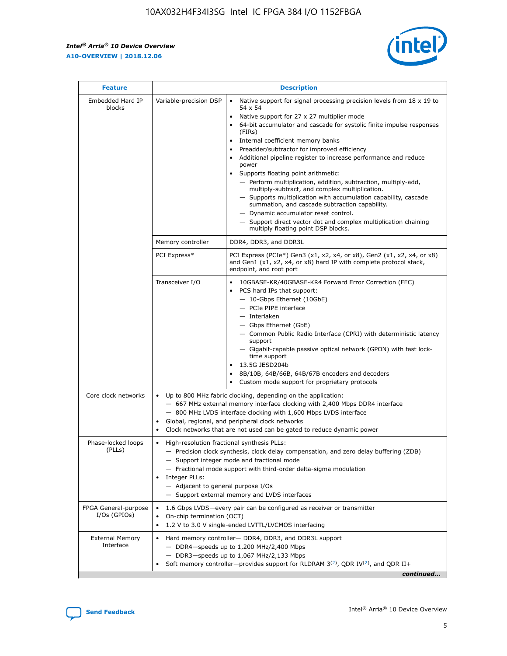r



| <b>Feature</b>                         | <b>Description</b>                                                                                             |                                                                                                                                                                                                                                                                                                                                                                                                                                                                                                                                                                                                                                                                                                                                                                                                                                        |  |  |  |  |  |
|----------------------------------------|----------------------------------------------------------------------------------------------------------------|----------------------------------------------------------------------------------------------------------------------------------------------------------------------------------------------------------------------------------------------------------------------------------------------------------------------------------------------------------------------------------------------------------------------------------------------------------------------------------------------------------------------------------------------------------------------------------------------------------------------------------------------------------------------------------------------------------------------------------------------------------------------------------------------------------------------------------------|--|--|--|--|--|
| Embedded Hard IP<br>blocks             | Variable-precision DSP                                                                                         | Native support for signal processing precision levels from $18 \times 19$ to<br>54 x 54<br>Native support for 27 x 27 multiplier mode<br>64-bit accumulator and cascade for systolic finite impulse responses<br>(FIRs)<br>Internal coefficient memory banks<br>$\bullet$<br>Preadder/subtractor for improved efficiency<br>Additional pipeline register to increase performance and reduce<br>power<br>Supports floating point arithmetic:<br>- Perform multiplication, addition, subtraction, multiply-add,<br>multiply-subtract, and complex multiplication.<br>- Supports multiplication with accumulation capability, cascade<br>summation, and cascade subtraction capability.<br>- Dynamic accumulator reset control.<br>- Support direct vector dot and complex multiplication chaining<br>multiply floating point DSP blocks. |  |  |  |  |  |
|                                        | Memory controller                                                                                              | DDR4, DDR3, and DDR3L                                                                                                                                                                                                                                                                                                                                                                                                                                                                                                                                                                                                                                                                                                                                                                                                                  |  |  |  |  |  |
|                                        | PCI Express*                                                                                                   | PCI Express (PCIe*) Gen3 (x1, x2, x4, or x8), Gen2 (x1, x2, x4, or x8)<br>and Gen1 (x1, x2, x4, or x8) hard IP with complete protocol stack,<br>endpoint, and root port                                                                                                                                                                                                                                                                                                                                                                                                                                                                                                                                                                                                                                                                |  |  |  |  |  |
|                                        | Transceiver I/O                                                                                                | 10GBASE-KR/40GBASE-KR4 Forward Error Correction (FEC)<br>PCS hard IPs that support:<br>$\bullet$<br>- 10-Gbps Ethernet (10GbE)<br>- PCIe PIPE interface<br>$-$ Interlaken<br>- Gbps Ethernet (GbE)<br>- Common Public Radio Interface (CPRI) with deterministic latency<br>support<br>- Gigabit-capable passive optical network (GPON) with fast lock-<br>time support<br>13.5G JESD204b<br>$\bullet$<br>8B/10B, 64B/66B, 64B/67B encoders and decoders<br>Custom mode support for proprietary protocols                                                                                                                                                                                                                                                                                                                               |  |  |  |  |  |
| Core clock networks                    | $\bullet$<br>$\bullet$                                                                                         | Up to 800 MHz fabric clocking, depending on the application:<br>- 667 MHz external memory interface clocking with 2,400 Mbps DDR4 interface<br>- 800 MHz LVDS interface clocking with 1,600 Mbps LVDS interface<br>Global, regional, and peripheral clock networks<br>Clock networks that are not used can be gated to reduce dynamic power                                                                                                                                                                                                                                                                                                                                                                                                                                                                                            |  |  |  |  |  |
| Phase-locked loops<br>(PLLs)           | High-resolution fractional synthesis PLLs:<br>$\bullet$<br>Integer PLLs:<br>- Adjacent to general purpose I/Os | - Precision clock synthesis, clock delay compensation, and zero delay buffering (ZDB)<br>- Support integer mode and fractional mode<br>- Fractional mode support with third-order delta-sigma modulation<br>- Support external memory and LVDS interfaces                                                                                                                                                                                                                                                                                                                                                                                                                                                                                                                                                                              |  |  |  |  |  |
| FPGA General-purpose<br>$I/Os$ (GPIOs) | On-chip termination (OCT)                                                                                      | 1.6 Gbps LVDS-every pair can be configured as receiver or transmitter<br>1.2 V to 3.0 V single-ended LVTTL/LVCMOS interfacing                                                                                                                                                                                                                                                                                                                                                                                                                                                                                                                                                                                                                                                                                                          |  |  |  |  |  |
| <b>External Memory</b><br>Interface    |                                                                                                                | Hard memory controller- DDR4, DDR3, and DDR3L support<br>$-$ DDR4 $-$ speeds up to 1,200 MHz/2,400 Mbps<br>- DDR3-speeds up to 1,067 MHz/2,133 Mbps<br>Soft memory controller—provides support for RLDRAM $3^{(2)}$ , QDR IV $^{(2)}$ , and QDR II+<br>continued                                                                                                                                                                                                                                                                                                                                                                                                                                                                                                                                                                       |  |  |  |  |  |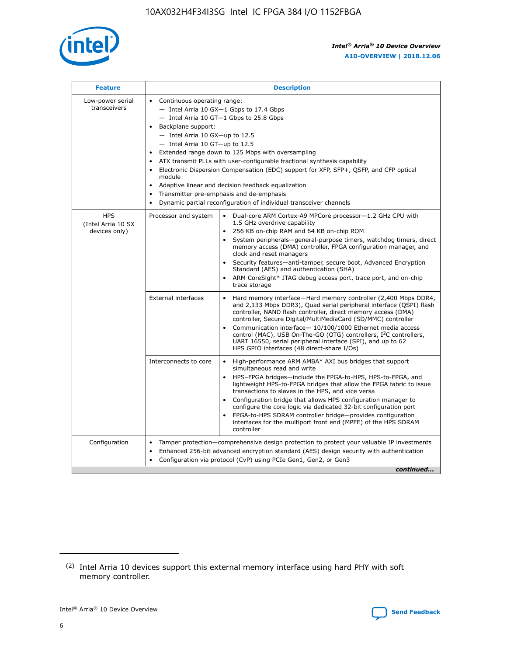

| <b>Feature</b>                                    | <b>Description</b>                                                                                                                                                                                                                                                                                                                                                                                                                                                                                                                                                                                                                                                        |
|---------------------------------------------------|---------------------------------------------------------------------------------------------------------------------------------------------------------------------------------------------------------------------------------------------------------------------------------------------------------------------------------------------------------------------------------------------------------------------------------------------------------------------------------------------------------------------------------------------------------------------------------------------------------------------------------------------------------------------------|
| Low-power serial<br>transceivers                  | • Continuous operating range:<br>- Intel Arria 10 GX-1 Gbps to 17.4 Gbps<br>$-$ Intel Arria 10 GT $-1$ Gbps to 25.8 Gbps<br>Backplane support:<br>$\bullet$<br>$-$ Intel Arria 10 GX-up to 12.5<br>$-$ Intel Arria 10 GT-up to 12.5<br>Extended range down to 125 Mbps with oversampling<br>ATX transmit PLLs with user-configurable fractional synthesis capability<br>Electronic Dispersion Compensation (EDC) support for XFP, SFP+, OSFP, and CFP optical<br>module<br>Adaptive linear and decision feedback equalization<br>$\bullet$<br>Transmitter pre-emphasis and de-emphasis<br>$\bullet$<br>Dynamic partial reconfiguration of individual transceiver channels |
| <b>HPS</b><br>(Intel Arria 10 SX<br>devices only) | Dual-core ARM Cortex-A9 MPCore processor-1.2 GHz CPU with<br>Processor and system<br>$\bullet$<br>1.5 GHz overdrive capability<br>256 KB on-chip RAM and 64 KB on-chip ROM<br>System peripherals-general-purpose timers, watchdog timers, direct<br>memory access (DMA) controller, FPGA configuration manager, and<br>clock and reset managers<br>• Security features—anti-tamper, secure boot, Advanced Encryption<br>Standard (AES) and authentication (SHA)<br>ARM CoreSight* JTAG debug access port, trace port, and on-chip<br>$\bullet$<br>trace storage                                                                                                           |
|                                                   | <b>External interfaces</b><br>Hard memory interface—Hard memory controller (2,400 Mbps DDR4,<br>and 2,133 Mbps DDR3), Quad serial peripheral interface (QSPI) flash<br>controller, NAND flash controller, direct memory access (DMA)<br>controller, Secure Digital/MultiMediaCard (SD/MMC) controller<br>Communication interface-10/100/1000 Ethernet media access<br>$\bullet$<br>control (MAC), USB On-The-GO (OTG) controllers, I <sup>2</sup> C controllers,<br>UART 16550, serial peripheral interface (SPI), and up to 62<br>HPS GPIO interfaces (48 direct-share I/Os)                                                                                             |
|                                                   | Interconnects to core<br>• High-performance ARM AMBA* AXI bus bridges that support<br>simultaneous read and write<br>HPS-FPGA bridges-include the FPGA-to-HPS, HPS-to-FPGA, and<br>$\bullet$<br>lightweight HPS-to-FPGA bridges that allow the FPGA fabric to issue<br>transactions to slaves in the HPS, and vice versa<br>Configuration bridge that allows HPS configuration manager to<br>configure the core logic via dedicated 32-bit configuration port<br>FPGA-to-HPS SDRAM controller bridge-provides configuration<br>interfaces for the multiport front end (MPFE) of the HPS SDRAM<br>controller                                                               |
| Configuration                                     | Tamper protection—comprehensive design protection to protect your valuable IP investments<br>Enhanced 256-bit advanced encryption standard (AES) design security with authentication<br>$\bullet$<br>Configuration via protocol (CvP) using PCIe Gen1, Gen2, or Gen3<br>continued                                                                                                                                                                                                                                                                                                                                                                                         |

<sup>(2)</sup> Intel Arria 10 devices support this external memory interface using hard PHY with soft memory controller.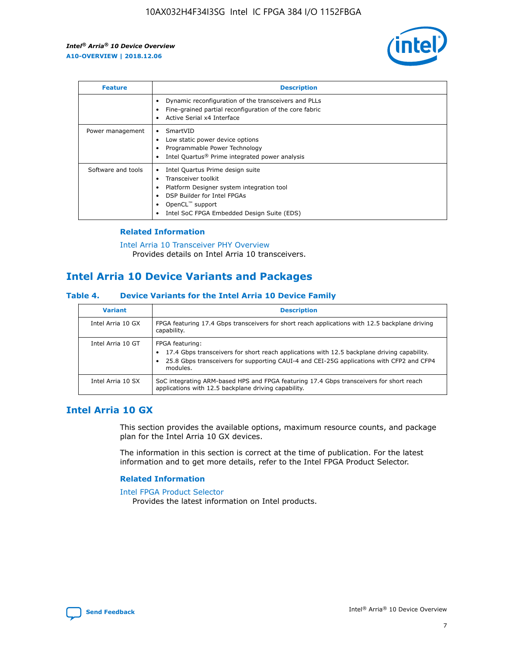

| <b>Feature</b>     | <b>Description</b>                                                                                                                                                                                                         |
|--------------------|----------------------------------------------------------------------------------------------------------------------------------------------------------------------------------------------------------------------------|
|                    | Dynamic reconfiguration of the transceivers and PLLs<br>Fine-grained partial reconfiguration of the core fabric<br>Active Serial x4 Interface<br>٠                                                                         |
| Power management   | SmartVID<br>Low static power device options<br>Programmable Power Technology<br>Intel Quartus <sup>®</sup> Prime integrated power analysis                                                                                 |
| Software and tools | Intel Quartus Prime design suite<br>Transceiver toolkit<br>٠<br>Platform Designer system integration tool<br>٠<br>DSP Builder for Intel FPGAs<br>OpenCL <sup>™</sup> support<br>Intel SoC FPGA Embedded Design Suite (EDS) |

## **Related Information**

[Intel Arria 10 Transceiver PHY Overview](https://www.intel.com/content/www/us/en/programmable/documentation/nik1398707230472.html#nik1398706768037) Provides details on Intel Arria 10 transceivers.

# **Intel Arria 10 Device Variants and Packages**

#### **Table 4. Device Variants for the Intel Arria 10 Device Family**

| <b>Variant</b>    | <b>Description</b>                                                                                                                                                                                                     |
|-------------------|------------------------------------------------------------------------------------------------------------------------------------------------------------------------------------------------------------------------|
| Intel Arria 10 GX | FPGA featuring 17.4 Gbps transceivers for short reach applications with 12.5 backplane driving<br>capability.                                                                                                          |
| Intel Arria 10 GT | FPGA featuring:<br>17.4 Gbps transceivers for short reach applications with 12.5 backplane driving capability.<br>25.8 Gbps transceivers for supporting CAUI-4 and CEI-25G applications with CFP2 and CFP4<br>modules. |
| Intel Arria 10 SX | SoC integrating ARM-based HPS and FPGA featuring 17.4 Gbps transceivers for short reach<br>applications with 12.5 backplane driving capability.                                                                        |

# **Intel Arria 10 GX**

This section provides the available options, maximum resource counts, and package plan for the Intel Arria 10 GX devices.

The information in this section is correct at the time of publication. For the latest information and to get more details, refer to the Intel FPGA Product Selector.

## **Related Information**

#### [Intel FPGA Product Selector](http://www.altera.com/products/selector/psg-selector.html) Provides the latest information on Intel products.

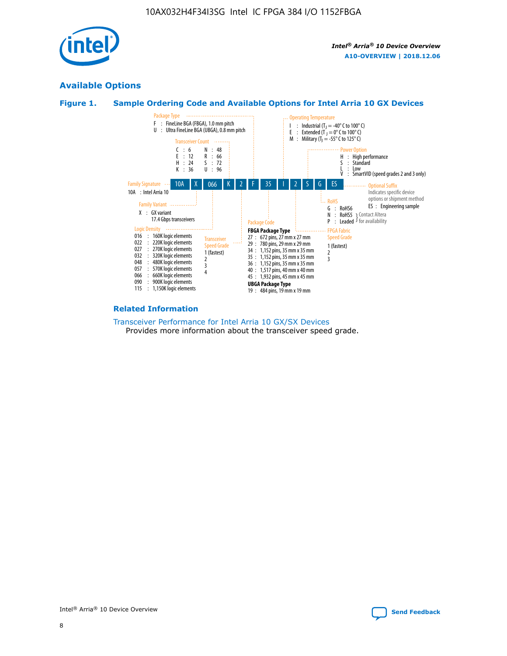

# **Available Options**





#### **Related Information**

[Transceiver Performance for Intel Arria 10 GX/SX Devices](https://www.intel.com/content/www/us/en/programmable/documentation/mcn1413182292568.html#mcn1413213965502) Provides more information about the transceiver speed grade.

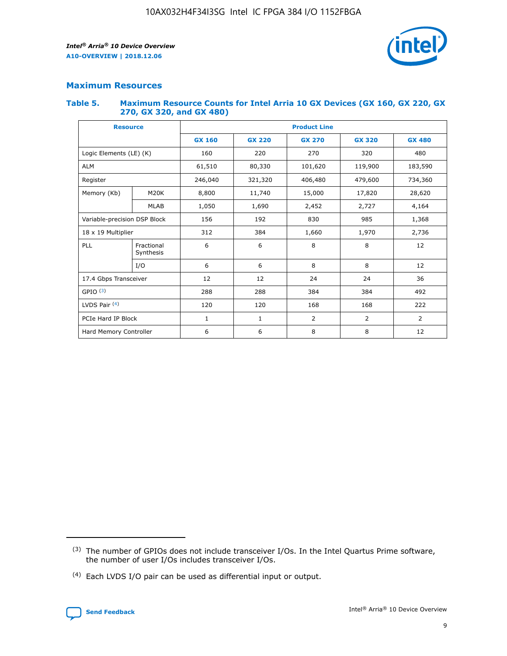

## **Maximum Resources**

#### **Table 5. Maximum Resource Counts for Intel Arria 10 GX Devices (GX 160, GX 220, GX 270, GX 320, and GX 480)**

| <b>Resource</b>              |                         | <b>Product Line</b>      |                                                 |                |                |                |  |  |  |
|------------------------------|-------------------------|--------------------------|-------------------------------------------------|----------------|----------------|----------------|--|--|--|
|                              |                         | <b>GX 160</b>            | <b>GX 220</b><br><b>GX 270</b><br><b>GX 320</b> |                |                | <b>GX 480</b>  |  |  |  |
| Logic Elements (LE) (K)      |                         | 160                      | 220                                             | 270            | 320            | 480            |  |  |  |
| <b>ALM</b>                   |                         | 61,510                   | 80,330                                          | 101,620        | 119,900        | 183,590        |  |  |  |
| Register                     |                         | 246,040                  | 321,320                                         | 406,480        | 479,600        | 734,360        |  |  |  |
| Memory (Kb)                  | M <sub>20</sub> K       | 8,800                    | 11,740                                          | 15,000         | 17,820         | 28,620         |  |  |  |
| <b>MLAB</b>                  |                         | 1,050                    | 1,690                                           | 2,452          | 2,727          | 4,164          |  |  |  |
| Variable-precision DSP Block |                         | 156<br>192<br>830<br>985 |                                                 |                |                | 1,368          |  |  |  |
| 18 x 19 Multiplier           |                         | 312                      | 384                                             | 1,970<br>1,660 |                | 2,736          |  |  |  |
| PLL                          | Fractional<br>Synthesis | 6                        | 6                                               | 8              | 8              | 12             |  |  |  |
|                              | I/O                     | 6                        | 6                                               | 8              | 8              | 12             |  |  |  |
| 17.4 Gbps Transceiver        |                         | 12                       | 12                                              | 24             | 24             | 36             |  |  |  |
| GPIO <sup>(3)</sup>          |                         | 288                      | 288                                             | 384            | 384            | 492            |  |  |  |
| LVDS Pair $(4)$              |                         | 120                      | 120                                             | 168            | 168            | 222            |  |  |  |
| PCIe Hard IP Block           |                         | 1                        | 1                                               | 2              | $\overline{2}$ | $\overline{2}$ |  |  |  |
| Hard Memory Controller       |                         | 6                        | 6                                               | 8              | 8              | 12             |  |  |  |

<sup>(4)</sup> Each LVDS I/O pair can be used as differential input or output.



<sup>(3)</sup> The number of GPIOs does not include transceiver I/Os. In the Intel Quartus Prime software, the number of user I/Os includes transceiver I/Os.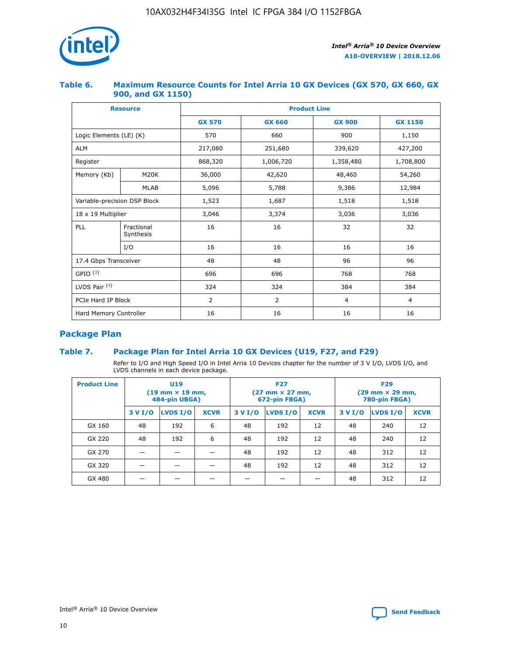

## **Table 6. Maximum Resource Counts for Intel Arria 10 GX Devices (GX 570, GX 660, GX 900, and GX 1150)**

|                              | <b>Resource</b>         | <b>Product Line</b> |                |                |                |  |  |  |
|------------------------------|-------------------------|---------------------|----------------|----------------|----------------|--|--|--|
|                              |                         | <b>GX 570</b>       | <b>GX 660</b>  | <b>GX 900</b>  | <b>GX 1150</b> |  |  |  |
| Logic Elements (LE) (K)      |                         | 570                 | 660            | 900            | 1,150          |  |  |  |
| <b>ALM</b>                   |                         | 217,080             | 251,680        | 339,620        | 427,200        |  |  |  |
| Register                     |                         | 868,320             | 1,006,720      | 1,358,480      | 1,708,800      |  |  |  |
| Memory (Kb)                  | <b>M20K</b>             | 36,000              | 42,620         | 48,460         | 54,260         |  |  |  |
|                              | <b>MLAB</b>             | 5,096               | 5,788          | 9,386          | 12,984         |  |  |  |
| Variable-precision DSP Block |                         | 1,523               | 1,687          | 1,518          | 1,518          |  |  |  |
|                              | 18 x 19 Multiplier      |                     | 3,374          | 3,036          | 3,036          |  |  |  |
| PLL                          | Fractional<br>Synthesis | 16                  | 16             | 32             | 32             |  |  |  |
|                              | I/O                     | 16                  | 16             | 16             | 16             |  |  |  |
| 17.4 Gbps Transceiver        |                         | 48                  | 48             | 96             | 96             |  |  |  |
| GPIO <sup>(3)</sup>          |                         | 696                 | 696            | 768            | 768            |  |  |  |
| LVDS Pair $(4)$              |                         | 324                 | 324            | 384            | 384            |  |  |  |
| PCIe Hard IP Block           |                         | 2                   | $\overline{2}$ | $\overline{4}$ | $\overline{4}$ |  |  |  |
| Hard Memory Controller       |                         | 16                  | 16             | 16             | 16             |  |  |  |

# **Package Plan**

# **Table 7. Package Plan for Intel Arria 10 GX Devices (U19, F27, and F29)**

Refer to I/O and High Speed I/O in Intel Arria 10 Devices chapter for the number of 3 V I/O, LVDS I/O, and LVDS channels in each device package.

| <b>Product Line</b> | U <sub>19</sub><br>$(19 \text{ mm} \times 19 \text{ mm})$<br>484-pin UBGA) |          |             |         | <b>F27</b><br>(27 mm × 27 mm,<br>672-pin FBGA) |             | <b>F29</b><br>(29 mm × 29 mm,<br>780-pin FBGA) |          |             |  |
|---------------------|----------------------------------------------------------------------------|----------|-------------|---------|------------------------------------------------|-------------|------------------------------------------------|----------|-------------|--|
|                     | 3 V I/O                                                                    | LVDS I/O | <b>XCVR</b> | 3 V I/O | LVDS I/O                                       | <b>XCVR</b> | 3 V I/O                                        | LVDS I/O | <b>XCVR</b> |  |
| GX 160              | 48                                                                         | 192      | 6           | 48      | 192                                            | 12          | 48                                             | 240      | 12          |  |
| GX 220              | 48                                                                         | 192      | 6           | 48      | 192                                            | 12          | 48                                             | 240      | 12          |  |
| GX 270              |                                                                            |          |             | 48      | 192                                            | 12          | 48                                             | 312      | 12          |  |
| GX 320              |                                                                            |          |             | 48      | 192                                            | 12          | 48                                             | 312      | 12          |  |
| GX 480              |                                                                            |          |             |         |                                                |             | 48                                             | 312      | 12          |  |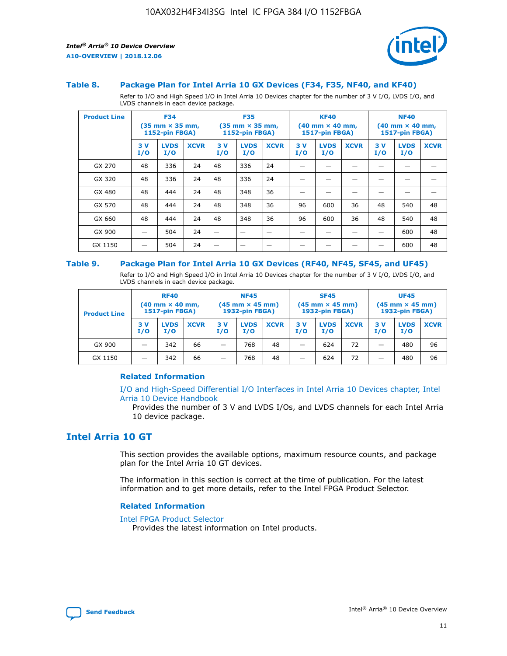

#### **Table 8. Package Plan for Intel Arria 10 GX Devices (F34, F35, NF40, and KF40)**

Refer to I/O and High Speed I/O in Intel Arria 10 Devices chapter for the number of 3 V I/O, LVDS I/O, and LVDS channels in each device package.

| <b>Product Line</b> | <b>F34</b><br>$(35 \text{ mm} \times 35 \text{ mm})$<br>1152-pin FBGA) |                    | <b>F35</b><br>$(35 \text{ mm} \times 35 \text{ mm})$<br><b>1152-pin FBGA)</b> |           | <b>KF40</b><br>$(40 \text{ mm} \times 40 \text{ mm})$<br>1517-pin FBGA) |             |            | <b>NF40</b><br>$(40 \text{ mm} \times 40 \text{ mm})$<br><b>1517-pin FBGA)</b> |             |            |                    |             |
|---------------------|------------------------------------------------------------------------|--------------------|-------------------------------------------------------------------------------|-----------|-------------------------------------------------------------------------|-------------|------------|--------------------------------------------------------------------------------|-------------|------------|--------------------|-------------|
|                     | 3V<br>I/O                                                              | <b>LVDS</b><br>I/O | <b>XCVR</b>                                                                   | 3V<br>I/O | <b>LVDS</b><br>I/O                                                      | <b>XCVR</b> | 3 V<br>I/O | <b>LVDS</b><br>I/O                                                             | <b>XCVR</b> | 3 V<br>I/O | <b>LVDS</b><br>I/O | <b>XCVR</b> |
| GX 270              | 48                                                                     | 336                | 24                                                                            | 48        | 336                                                                     | 24          |            |                                                                                |             |            |                    |             |
| GX 320              | 48                                                                     | 336                | 24                                                                            | 48        | 336                                                                     | 24          |            |                                                                                |             |            |                    |             |
| GX 480              | 48                                                                     | 444                | 24                                                                            | 48        | 348                                                                     | 36          |            |                                                                                |             |            |                    |             |
| GX 570              | 48                                                                     | 444                | 24                                                                            | 48        | 348                                                                     | 36          | 96         | 600                                                                            | 36          | 48         | 540                | 48          |
| GX 660              | 48                                                                     | 444                | 24                                                                            | 48        | 348                                                                     | 36          | 96         | 600                                                                            | 36          | 48         | 540                | 48          |
| GX 900              |                                                                        | 504                | 24                                                                            | -         |                                                                         |             |            |                                                                                |             |            | 600                | 48          |
| GX 1150             |                                                                        | 504                | 24                                                                            |           |                                                                         |             |            |                                                                                |             |            | 600                | 48          |

#### **Table 9. Package Plan for Intel Arria 10 GX Devices (RF40, NF45, SF45, and UF45)**

Refer to I/O and High Speed I/O in Intel Arria 10 Devices chapter for the number of 3 V I/O, LVDS I/O, and LVDS channels in each device package.

| <b>Product Line</b> | <b>RF40</b><br>$(40 \text{ mm} \times 40 \text{ mm})$<br>1517-pin FBGA) |                    | <b>NF45</b><br>$(45 \text{ mm} \times 45 \text{ mm})$<br><b>1932-pin FBGA)</b> |            |                    | <b>SF45</b><br>$(45 \text{ mm} \times 45 \text{ mm})$<br><b>1932-pin FBGA)</b> |            |                    | <b>UF45</b><br>$(45 \text{ mm} \times 45 \text{ mm})$<br>1932-pin FBGA) |           |                    |             |
|---------------------|-------------------------------------------------------------------------|--------------------|--------------------------------------------------------------------------------|------------|--------------------|--------------------------------------------------------------------------------|------------|--------------------|-------------------------------------------------------------------------|-----------|--------------------|-------------|
|                     | 3V<br>I/O                                                               | <b>LVDS</b><br>I/O | <b>XCVR</b>                                                                    | 3 V<br>I/O | <b>LVDS</b><br>I/O | <b>XCVR</b>                                                                    | 3 V<br>I/O | <b>LVDS</b><br>I/O | <b>XCVR</b>                                                             | 3V<br>I/O | <b>LVDS</b><br>I/O | <b>XCVR</b> |
| GX 900              |                                                                         | 342                | 66                                                                             | _          | 768                | 48                                                                             |            | 624                | 72                                                                      |           | 480                | 96          |
| GX 1150             |                                                                         | 342                | 66                                                                             | -          | 768                | 48                                                                             |            | 624                | 72                                                                      |           | 480                | 96          |

## **Related Information**

[I/O and High-Speed Differential I/O Interfaces in Intel Arria 10 Devices chapter, Intel](https://www.intel.com/content/www/us/en/programmable/documentation/sam1403482614086.html#sam1403482030321) [Arria 10 Device Handbook](https://www.intel.com/content/www/us/en/programmable/documentation/sam1403482614086.html#sam1403482030321)

Provides the number of 3 V and LVDS I/Os, and LVDS channels for each Intel Arria 10 device package.

# **Intel Arria 10 GT**

This section provides the available options, maximum resource counts, and package plan for the Intel Arria 10 GT devices.

The information in this section is correct at the time of publication. For the latest information and to get more details, refer to the Intel FPGA Product Selector.

#### **Related Information**

#### [Intel FPGA Product Selector](http://www.altera.com/products/selector/psg-selector.html)

Provides the latest information on Intel products.

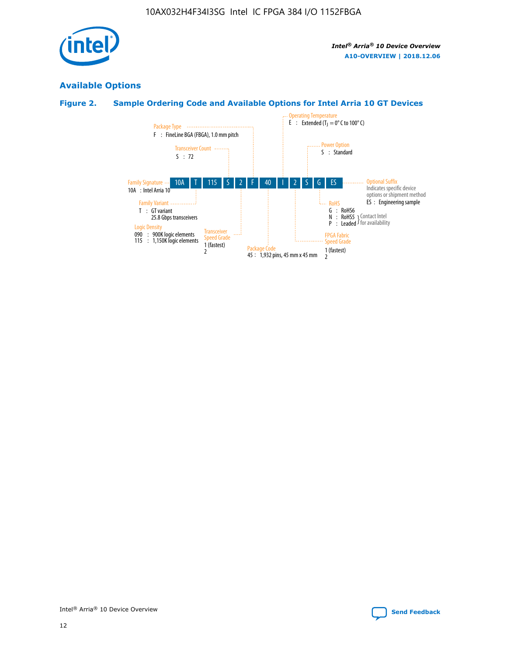

# **Available Options**

# **Figure 2. Sample Ordering Code and Available Options for Intel Arria 10 GT Devices**

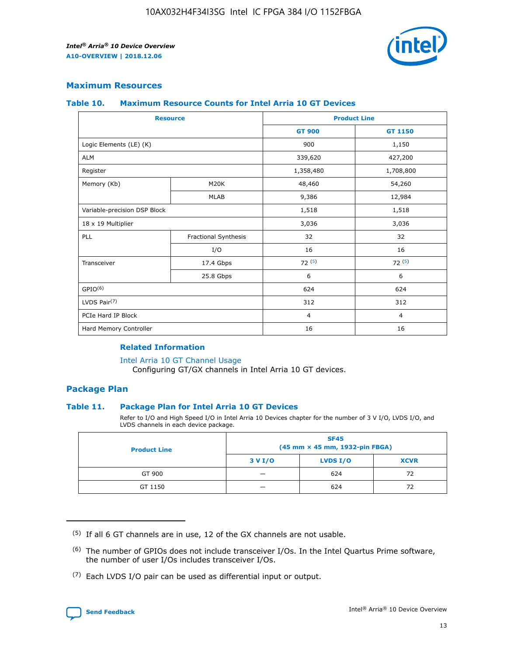

# **Maximum Resources**

#### **Table 10. Maximum Resource Counts for Intel Arria 10 GT Devices**

| <b>Resource</b>              |                      | <b>Product Line</b> |                |  |
|------------------------------|----------------------|---------------------|----------------|--|
|                              |                      | <b>GT 900</b>       | <b>GT 1150</b> |  |
| Logic Elements (LE) (K)      |                      | 900                 | 1,150          |  |
| <b>ALM</b>                   |                      | 339,620             | 427,200        |  |
| Register                     |                      | 1,358,480           | 1,708,800      |  |
| Memory (Kb)                  | M <sub>20</sub> K    | 48,460              | 54,260         |  |
|                              | <b>MLAB</b>          | 9,386               | 12,984         |  |
| Variable-precision DSP Block |                      | 1,518               | 1,518          |  |
| 18 x 19 Multiplier           |                      | 3,036               | 3,036          |  |
| <b>PLL</b>                   | Fractional Synthesis | 32                  | 32             |  |
|                              | I/O                  | 16                  | 16             |  |
| Transceiver                  | 17.4 Gbps            | 72(5)               | 72(5)          |  |
|                              | 25.8 Gbps            | 6                   | 6              |  |
| GPIO <sup>(6)</sup>          |                      | 624                 | 624            |  |
| LVDS Pair $(7)$              |                      | 312                 | 312            |  |
| PCIe Hard IP Block           |                      | $\overline{4}$      | $\overline{4}$ |  |
| Hard Memory Controller       |                      | 16                  | 16             |  |

## **Related Information**

#### [Intel Arria 10 GT Channel Usage](https://www.intel.com/content/www/us/en/programmable/documentation/nik1398707230472.html#nik1398707008178)

Configuring GT/GX channels in Intel Arria 10 GT devices.

## **Package Plan**

## **Table 11. Package Plan for Intel Arria 10 GT Devices**

Refer to I/O and High Speed I/O in Intel Arria 10 Devices chapter for the number of 3 V I/O, LVDS I/O, and LVDS channels in each device package.

| <b>Product Line</b> | <b>SF45</b><br>(45 mm × 45 mm, 1932-pin FBGA) |                 |             |  |  |  |  |
|---------------------|-----------------------------------------------|-----------------|-------------|--|--|--|--|
|                     | 3 V I/O                                       | <b>LVDS I/O</b> | <b>XCVR</b> |  |  |  |  |
| GT 900              |                                               | 624             | 72          |  |  |  |  |
| GT 1150             |                                               | 624             | 72          |  |  |  |  |

<sup>(7)</sup> Each LVDS I/O pair can be used as differential input or output.



 $(5)$  If all 6 GT channels are in use, 12 of the GX channels are not usable.

<sup>(6)</sup> The number of GPIOs does not include transceiver I/Os. In the Intel Quartus Prime software, the number of user I/Os includes transceiver I/Os.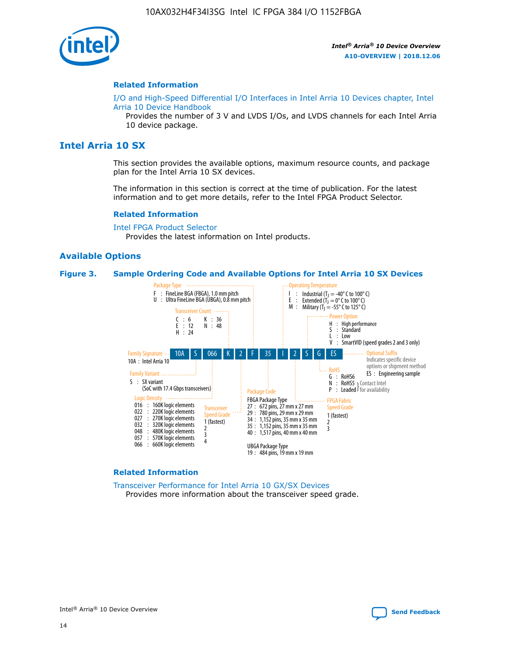

#### **Related Information**

[I/O and High-Speed Differential I/O Interfaces in Intel Arria 10 Devices chapter, Intel](https://www.intel.com/content/www/us/en/programmable/documentation/sam1403482614086.html#sam1403482030321) [Arria 10 Device Handbook](https://www.intel.com/content/www/us/en/programmable/documentation/sam1403482614086.html#sam1403482030321)

Provides the number of 3 V and LVDS I/Os, and LVDS channels for each Intel Arria 10 device package.

# **Intel Arria 10 SX**

This section provides the available options, maximum resource counts, and package plan for the Intel Arria 10 SX devices.

The information in this section is correct at the time of publication. For the latest information and to get more details, refer to the Intel FPGA Product Selector.

#### **Related Information**

[Intel FPGA Product Selector](http://www.altera.com/products/selector/psg-selector.html) Provides the latest information on Intel products.

## **Available Options**

#### **Figure 3. Sample Ordering Code and Available Options for Intel Arria 10 SX Devices**



#### **Related Information**

[Transceiver Performance for Intel Arria 10 GX/SX Devices](https://www.intel.com/content/www/us/en/programmable/documentation/mcn1413182292568.html#mcn1413213965502) Provides more information about the transceiver speed grade.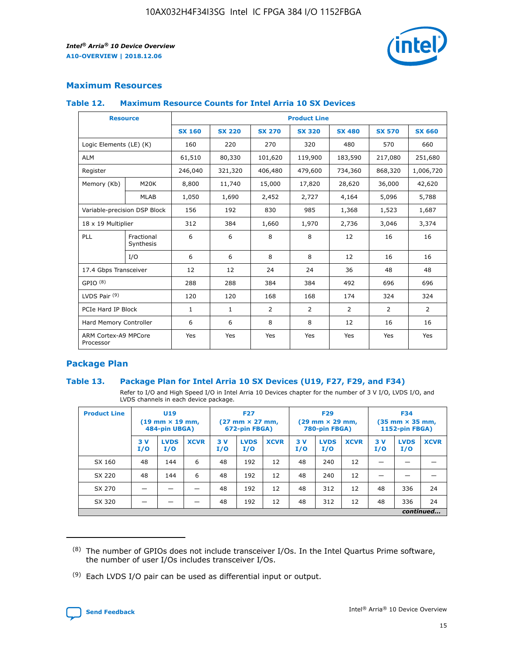

# **Maximum Resources**

#### **Table 12. Maximum Resource Counts for Intel Arria 10 SX Devices**

| <b>Resource</b>                   |                         | <b>Product Line</b> |               |                |                |                |                |                |  |  |  |
|-----------------------------------|-------------------------|---------------------|---------------|----------------|----------------|----------------|----------------|----------------|--|--|--|
|                                   |                         | <b>SX 160</b>       | <b>SX 220</b> | <b>SX 270</b>  | <b>SX 320</b>  | <b>SX 480</b>  | <b>SX 570</b>  | <b>SX 660</b>  |  |  |  |
| Logic Elements (LE) (K)           |                         | 160                 | 220           | 270            | 320            | 480            | 570            | 660            |  |  |  |
| <b>ALM</b>                        |                         | 61,510              | 80,330        | 101,620        | 119,900        | 183,590        | 217,080        | 251,680        |  |  |  |
| Register                          |                         | 246,040             | 321,320       | 406,480        | 479,600        | 734,360        | 868,320        | 1,006,720      |  |  |  |
| Memory (Kb)                       | M <sub>20</sub> K       | 8,800               | 11,740        | 15,000         | 17,820         | 28,620         | 36,000         | 42,620         |  |  |  |
|                                   | <b>MLAB</b>             | 1,050               | 1,690         | 2,452          | 2,727          | 4,164          | 5,096          | 5,788          |  |  |  |
| Variable-precision DSP Block      |                         | 156                 | 192           | 830            | 985            | 1,368          | 1,523          | 1,687          |  |  |  |
| 18 x 19 Multiplier                |                         | 312                 | 384           | 1,660          | 1,970          | 2,736          | 3,046          | 3,374          |  |  |  |
| PLL                               | Fractional<br>Synthesis | 6                   | 6             | 8              | 8              | 12             | 16             | 16             |  |  |  |
|                                   | I/O                     | 6                   | 6             | 8              | 8              | 12             | 16             | 16             |  |  |  |
| 17.4 Gbps Transceiver             |                         | 12                  | 12            | 24             | 24             | 36             | 48             | 48             |  |  |  |
| GPIO <sup>(8)</sup>               |                         | 288                 | 288           | 384            | 384            | 492            | 696            | 696            |  |  |  |
| LVDS Pair $(9)$                   |                         | 120                 | 120           | 168            | 168            | 174            | 324            | 324            |  |  |  |
|                                   | PCIe Hard IP Block      |                     | $\mathbf{1}$  | $\overline{2}$ | $\overline{2}$ | $\overline{2}$ | $\overline{2}$ | $\overline{2}$ |  |  |  |
| Hard Memory Controller            |                         | 6                   | 6             | 8              | 8              | 12             | 16             | 16             |  |  |  |
| ARM Cortex-A9 MPCore<br>Processor |                         | Yes                 | Yes           | Yes            | Yes            | Yes            | Yes            | <b>Yes</b>     |  |  |  |

# **Package Plan**

## **Table 13. Package Plan for Intel Arria 10 SX Devices (U19, F27, F29, and F34)**

Refer to I/O and High Speed I/O in Intel Arria 10 Devices chapter for the number of 3 V I/O, LVDS I/O, and LVDS channels in each device package.

| <b>Product Line</b> | U <sub>19</sub><br>$(19 \text{ mm} \times 19 \text{ mm})$ .<br>484-pin UBGA) |                    |             | <b>F27</b><br>$(27 \text{ mm} \times 27 \text{ mm})$<br>672-pin FBGA) |                    | <b>F29</b><br>$(29 \text{ mm} \times 29 \text{ mm})$<br>780-pin FBGA) |           |                    | <b>F34</b><br>$(35 \text{ mm} \times 35 \text{ mm})$<br><b>1152-pin FBGA)</b> |           |                    |             |
|---------------------|------------------------------------------------------------------------------|--------------------|-------------|-----------------------------------------------------------------------|--------------------|-----------------------------------------------------------------------|-----------|--------------------|-------------------------------------------------------------------------------|-----------|--------------------|-------------|
|                     | 3V<br>I/O                                                                    | <b>LVDS</b><br>I/O | <b>XCVR</b> | 3V<br>I/O                                                             | <b>LVDS</b><br>I/O | <b>XCVR</b>                                                           | 3V<br>I/O | <b>LVDS</b><br>I/O | <b>XCVR</b>                                                                   | 3V<br>I/O | <b>LVDS</b><br>I/O | <b>XCVR</b> |
| SX 160              | 48                                                                           | 144                | 6           | 48                                                                    | 192                | 12                                                                    | 48        | 240                | 12                                                                            |           |                    |             |
| SX 220              | 48                                                                           | 144                | 6           | 48                                                                    | 192                | 12                                                                    | 48        | 240                | 12                                                                            |           |                    |             |
| SX 270              |                                                                              |                    |             | 48                                                                    | 192                | 12                                                                    | 48        | 312                | 12                                                                            | 48        | 336                | 24          |
| SX 320              |                                                                              |                    |             | 48                                                                    | 192                | 12                                                                    | 48        | 312                | 12                                                                            | 48        | 336                | 24          |
|                     | continued                                                                    |                    |             |                                                                       |                    |                                                                       |           |                    |                                                                               |           |                    |             |

 $(8)$  The number of GPIOs does not include transceiver I/Os. In the Intel Quartus Prime software, the number of user I/Os includes transceiver I/Os.

 $(9)$  Each LVDS I/O pair can be used as differential input or output.

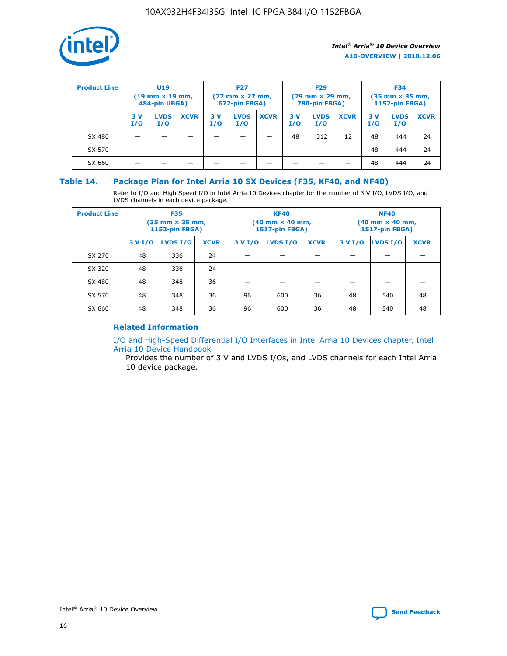

| <b>Product Line</b> | U <sub>19</sub><br>$(19 \text{ mm} \times 19 \text{ mm})$<br>484-pin UBGA) |                    |             | <b>F27</b><br>$(27 \text{ mm} \times 27 \text{ mm})$<br>672-pin FBGA) |                    |             | <b>F29</b><br>$(29 \text{ mm} \times 29 \text{ mm})$<br>780-pin FBGA) |                    |             | <b>F34</b><br>$(35$ mm $\times$ 35 mm,<br><b>1152-pin FBGA)</b> |                    |             |
|---------------------|----------------------------------------------------------------------------|--------------------|-------------|-----------------------------------------------------------------------|--------------------|-------------|-----------------------------------------------------------------------|--------------------|-------------|-----------------------------------------------------------------|--------------------|-------------|
|                     | 3 V<br>I/O                                                                 | <b>LVDS</b><br>I/O | <b>XCVR</b> | 3V<br>I/O                                                             | <b>LVDS</b><br>I/O | <b>XCVR</b> | 3V<br>I/O                                                             | <b>LVDS</b><br>I/O | <b>XCVR</b> | 3V<br>I/O                                                       | <b>LVDS</b><br>I/O | <b>XCVR</b> |
| SX 480              |                                                                            |                    |             |                                                                       |                    |             | 48                                                                    | 312                | 12          | 48                                                              | 444                | 24          |
| SX 570              |                                                                            |                    |             |                                                                       |                    |             |                                                                       |                    |             | 48                                                              | 444                | 24          |
| SX 660              |                                                                            |                    |             |                                                                       |                    |             |                                                                       |                    |             | 48                                                              | 444                | 24          |

## **Table 14. Package Plan for Intel Arria 10 SX Devices (F35, KF40, and NF40)**

Refer to I/O and High Speed I/O in Intel Arria 10 Devices chapter for the number of 3 V I/O, LVDS I/O, and LVDS channels in each device package.

| <b>Product Line</b> | <b>F35</b><br>(35 mm × 35 mm,<br><b>1152-pin FBGA)</b> |          |             |         | <b>KF40</b><br>(40 mm × 40 mm,<br>1517-pin FBGA) |    | <b>NF40</b><br>$(40 \text{ mm} \times 40 \text{ mm})$<br>1517-pin FBGA) |          |             |  |
|---------------------|--------------------------------------------------------|----------|-------------|---------|--------------------------------------------------|----|-------------------------------------------------------------------------|----------|-------------|--|
|                     | 3 V I/O                                                | LVDS I/O | <b>XCVR</b> | 3 V I/O | <b>LVDS I/O</b><br><b>XCVR</b>                   |    | 3 V I/O                                                                 | LVDS I/O | <b>XCVR</b> |  |
| SX 270              | 48                                                     | 336      | 24          |         |                                                  |    |                                                                         |          |             |  |
| SX 320              | 48                                                     | 336      | 24          |         |                                                  |    |                                                                         |          |             |  |
| SX 480              | 48                                                     | 348      | 36          |         |                                                  |    |                                                                         |          |             |  |
| SX 570              | 48                                                     | 348      | 36          | 96      | 600                                              | 36 | 48                                                                      | 540      | 48          |  |
| SX 660              | 48                                                     | 348      | 36          | 96      | 600                                              | 36 | 48                                                                      | 540      | 48          |  |

# **Related Information**

[I/O and High-Speed Differential I/O Interfaces in Intel Arria 10 Devices chapter, Intel](https://www.intel.com/content/www/us/en/programmable/documentation/sam1403482614086.html#sam1403482030321) [Arria 10 Device Handbook](https://www.intel.com/content/www/us/en/programmable/documentation/sam1403482614086.html#sam1403482030321)

Provides the number of 3 V and LVDS I/Os, and LVDS channels for each Intel Arria 10 device package.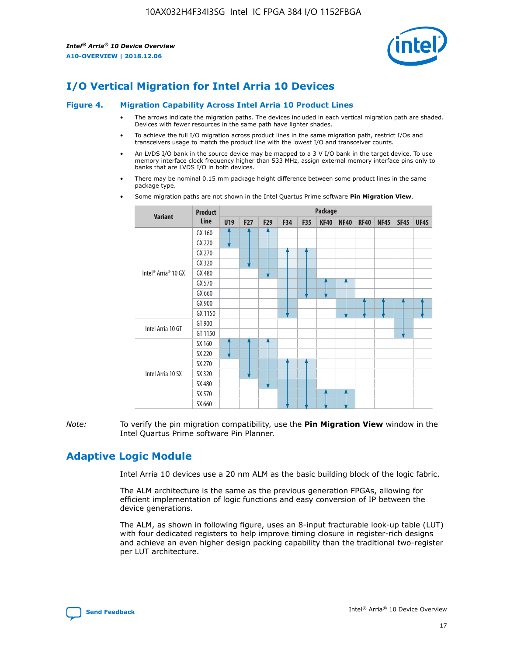

# **I/O Vertical Migration for Intel Arria 10 Devices**

#### **Figure 4. Migration Capability Across Intel Arria 10 Product Lines**

- The arrows indicate the migration paths. The devices included in each vertical migration path are shaded. Devices with fewer resources in the same path have lighter shades.
- To achieve the full I/O migration across product lines in the same migration path, restrict I/Os and transceivers usage to match the product line with the lowest I/O and transceiver counts.
- An LVDS I/O bank in the source device may be mapped to a 3 V I/O bank in the target device. To use memory interface clock frequency higher than 533 MHz, assign external memory interface pins only to banks that are LVDS I/O in both devices.
- There may be nominal 0.15 mm package height difference between some product lines in the same package type.
	- **Variant Product Line Package U19 F27 F29 F34 F35 KF40 NF40 RF40 NF45 SF45 UF45** Intel® Arria® 10 GX GX 160 GX 220 GX 270 GX 320 GX 480 GX 570 GX 660 GX 900 GX 1150 Intel Arria 10 GT GT 900 GT 1150 Intel Arria 10 SX SX 160 SX 220 SX 270 SX 320 SX 480 SX 570 SX 660
- Some migration paths are not shown in the Intel Quartus Prime software **Pin Migration View**.

*Note:* To verify the pin migration compatibility, use the **Pin Migration View** window in the Intel Quartus Prime software Pin Planner.

# **Adaptive Logic Module**

Intel Arria 10 devices use a 20 nm ALM as the basic building block of the logic fabric.

The ALM architecture is the same as the previous generation FPGAs, allowing for efficient implementation of logic functions and easy conversion of IP between the device generations.

The ALM, as shown in following figure, uses an 8-input fracturable look-up table (LUT) with four dedicated registers to help improve timing closure in register-rich designs and achieve an even higher design packing capability than the traditional two-register per LUT architecture.

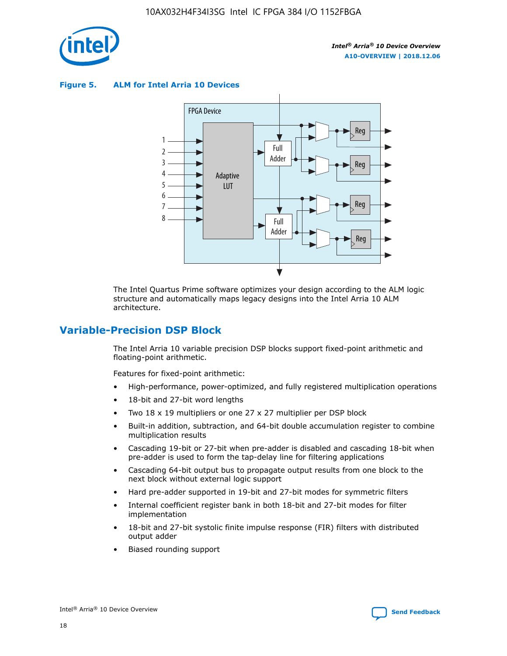

**Figure 5. ALM for Intel Arria 10 Devices**



The Intel Quartus Prime software optimizes your design according to the ALM logic structure and automatically maps legacy designs into the Intel Arria 10 ALM architecture.

# **Variable-Precision DSP Block**

The Intel Arria 10 variable precision DSP blocks support fixed-point arithmetic and floating-point arithmetic.

Features for fixed-point arithmetic:

- High-performance, power-optimized, and fully registered multiplication operations
- 18-bit and 27-bit word lengths
- Two 18 x 19 multipliers or one 27 x 27 multiplier per DSP block
- Built-in addition, subtraction, and 64-bit double accumulation register to combine multiplication results
- Cascading 19-bit or 27-bit when pre-adder is disabled and cascading 18-bit when pre-adder is used to form the tap-delay line for filtering applications
- Cascading 64-bit output bus to propagate output results from one block to the next block without external logic support
- Hard pre-adder supported in 19-bit and 27-bit modes for symmetric filters
- Internal coefficient register bank in both 18-bit and 27-bit modes for filter implementation
- 18-bit and 27-bit systolic finite impulse response (FIR) filters with distributed output adder
- Biased rounding support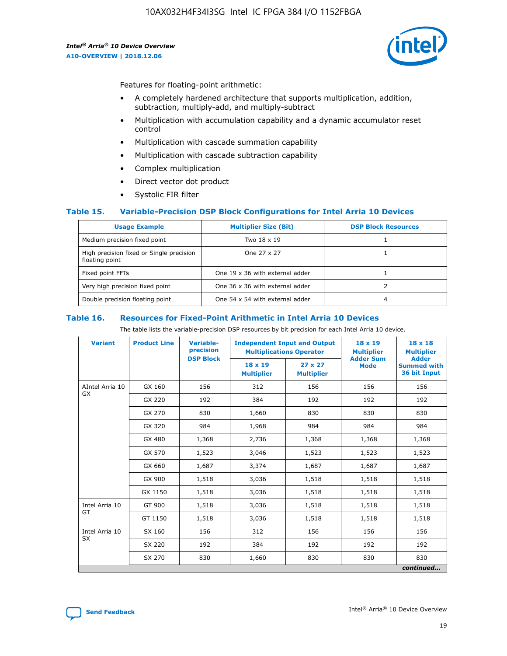![](_page_19_Picture_2.jpeg)

Features for floating-point arithmetic:

- A completely hardened architecture that supports multiplication, addition, subtraction, multiply-add, and multiply-subtract
- Multiplication with accumulation capability and a dynamic accumulator reset control
- Multiplication with cascade summation capability
- Multiplication with cascade subtraction capability
- Complex multiplication
- Direct vector dot product
- Systolic FIR filter

## **Table 15. Variable-Precision DSP Block Configurations for Intel Arria 10 Devices**

| <b>Usage Example</b>                                       | <b>Multiplier Size (Bit)</b>    | <b>DSP Block Resources</b> |
|------------------------------------------------------------|---------------------------------|----------------------------|
| Medium precision fixed point                               | Two 18 x 19                     |                            |
| High precision fixed or Single precision<br>floating point | One 27 x 27                     |                            |
| Fixed point FFTs                                           | One 19 x 36 with external adder |                            |
| Very high precision fixed point                            | One 36 x 36 with external adder |                            |
| Double precision floating point                            | One 54 x 54 with external adder | 4                          |

#### **Table 16. Resources for Fixed-Point Arithmetic in Intel Arria 10 Devices**

The table lists the variable-precision DSP resources by bit precision for each Intel Arria 10 device.

| <b>Variant</b>  | <b>Product Line</b> | Variable-<br>precision | <b>Independent Input and Output</b><br><b>Multiplications Operator</b> |                                     | $18 \times 19$<br><b>Multiplier</b><br><b>Adder Sum</b> | $18 \times 18$<br><b>Multiplier</b>                |
|-----------------|---------------------|------------------------|------------------------------------------------------------------------|-------------------------------------|---------------------------------------------------------|----------------------------------------------------|
|                 |                     | <b>DSP Block</b>       | 18 x 19<br><b>Multiplier</b>                                           | $27 \times 27$<br><b>Multiplier</b> | <b>Mode</b>                                             | <b>Adder</b><br><b>Summed with</b><br>36 bit Input |
| AIntel Arria 10 | GX 160              | 156                    | 312                                                                    | 156                                 | 156                                                     | 156                                                |
| GX              | GX 220              | 192                    | 384                                                                    | 192                                 | 192                                                     | 192                                                |
|                 | GX 270              | 830                    | 1,660                                                                  | 830                                 | 830                                                     | 830                                                |
|                 | GX 320              | 984                    | 1,968                                                                  | 984                                 | 984                                                     | 984                                                |
|                 | GX 480              | 1,368                  | 2,736                                                                  | 1,368                               | 1,368                                                   | 1,368                                              |
|                 | GX 570              | 1,523                  | 3,046                                                                  | 1,523                               | 1,523                                                   | 1,523                                              |
|                 | GX 660              | 1,687                  | 3,374                                                                  | 1,687                               | 1,687                                                   | 1,687                                              |
|                 | GX 900              | 1,518                  | 3,036                                                                  | 1,518                               | 1,518                                                   | 1,518                                              |
|                 | GX 1150             | 1,518                  | 3,036                                                                  | 1,518                               | 1,518                                                   | 1,518                                              |
| Intel Arria 10  | GT 900              | 1,518                  | 3,036                                                                  | 1,518                               | 1,518                                                   | 1,518                                              |
| GT              | GT 1150             | 1,518                  | 3,036                                                                  | 1,518                               | 1,518                                                   | 1,518                                              |
| Intel Arria 10  | SX 160              | 156                    | 312                                                                    | 156                                 | 156                                                     | 156                                                |
| <b>SX</b>       | SX 220              | 192                    |                                                                        | 192                                 | 192                                                     | 192                                                |
|                 | SX 270              | 830                    | 1,660                                                                  | 830                                 | 830                                                     | 830                                                |
|                 |                     |                        |                                                                        |                                     |                                                         | continued                                          |

![](_page_19_Picture_16.jpeg)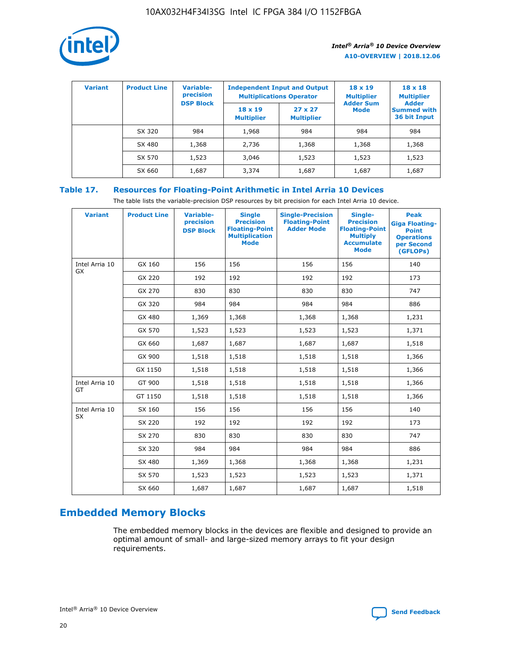![](_page_20_Picture_1.jpeg)

| <b>Variant</b> | <b>Product Line</b> | Variable-<br>precision | <b>Independent Input and Output</b><br><b>Multiplications Operator</b> |                                     | $18 \times 19$<br><b>Multiplier</b> | $18 \times 18$<br><b>Multiplier</b><br><b>Adder</b> |  |
|----------------|---------------------|------------------------|------------------------------------------------------------------------|-------------------------------------|-------------------------------------|-----------------------------------------------------|--|
|                |                     | <b>DSP Block</b>       | $18 \times 19$<br><b>Multiplier</b>                                    | $27 \times 27$<br><b>Multiplier</b> | <b>Adder Sum</b><br><b>Mode</b>     | <b>Summed with</b><br>36 bit Input                  |  |
|                | SX 320              | 984                    | 1,968                                                                  | 984                                 | 984                                 | 984                                                 |  |
|                | SX 480              | 1,368                  | 2,736                                                                  | 1,368                               | 1,368                               | 1,368                                               |  |
|                | SX 570              | 1,523                  | 3,046                                                                  | 1,523                               | 1,523                               | 1,523                                               |  |
|                | SX 660              | 1,687                  | 3,374                                                                  | 1,687                               | 1,687                               | 1,687                                               |  |

# **Table 17. Resources for Floating-Point Arithmetic in Intel Arria 10 Devices**

The table lists the variable-precision DSP resources by bit precision for each Intel Arria 10 device.

| <b>Variant</b> | <b>Product Line</b> | <b>Variable-</b><br>precision<br><b>DSP Block</b> | <b>Single</b><br><b>Precision</b><br><b>Floating-Point</b><br><b>Multiplication</b><br><b>Mode</b> | <b>Single-Precision</b><br><b>Floating-Point</b><br><b>Adder Mode</b> | Single-<br><b>Precision</b><br><b>Floating-Point</b><br><b>Multiply</b><br><b>Accumulate</b><br><b>Mode</b> | <b>Peak</b><br><b>Giga Floating-</b><br><b>Point</b><br><b>Operations</b><br>per Second<br>(GFLOPs) |
|----------------|---------------------|---------------------------------------------------|----------------------------------------------------------------------------------------------------|-----------------------------------------------------------------------|-------------------------------------------------------------------------------------------------------------|-----------------------------------------------------------------------------------------------------|
| Intel Arria 10 | GX 160              | 156                                               | 156                                                                                                | 156                                                                   | 156                                                                                                         | 140                                                                                                 |
| GX             | GX 220              | 192                                               | 192                                                                                                | 192                                                                   | 192                                                                                                         | 173                                                                                                 |
|                | GX 270              | 830                                               | 830                                                                                                | 830                                                                   | 830                                                                                                         | 747                                                                                                 |
|                | GX 320              | 984                                               | 984                                                                                                | 984                                                                   | 984                                                                                                         | 886                                                                                                 |
|                | GX 480              | 1,369                                             | 1,368                                                                                              | 1,368                                                                 | 1,368                                                                                                       | 1,231                                                                                               |
|                | GX 570              | 1,523                                             | 1,523                                                                                              | 1,523                                                                 | 1,523                                                                                                       | 1,371                                                                                               |
|                | GX 660              | 1,687                                             | 1,687                                                                                              | 1,687                                                                 | 1,687                                                                                                       | 1,518                                                                                               |
|                | GX 900              | 1,518                                             | 1,518                                                                                              | 1,518                                                                 | 1,518                                                                                                       | 1,366                                                                                               |
|                | GX 1150             | 1,518                                             | 1,518                                                                                              | 1,518                                                                 | 1,518                                                                                                       | 1,366                                                                                               |
| Intel Arria 10 | GT 900              | 1,518                                             | 1,518                                                                                              | 1,518                                                                 | 1,518                                                                                                       | 1,366                                                                                               |
| GT             | GT 1150             | 1,518                                             | 1,518                                                                                              | 1,518                                                                 | 1,518                                                                                                       | 1,366                                                                                               |
| Intel Arria 10 | SX 160              | 156                                               | 156                                                                                                | 156                                                                   | 156                                                                                                         | 140                                                                                                 |
| SX             | SX 220              | 192                                               | 192                                                                                                | 192                                                                   | 192                                                                                                         | 173                                                                                                 |
|                | SX 270              | 830                                               | 830                                                                                                | 830                                                                   | 830                                                                                                         | 747                                                                                                 |
|                | SX 320              | 984                                               | 984                                                                                                | 984                                                                   | 984                                                                                                         | 886                                                                                                 |
|                | SX 480              | 1,369                                             | 1,368                                                                                              | 1,368                                                                 | 1,368                                                                                                       | 1,231                                                                                               |
|                | SX 570              | 1,523                                             | 1,523                                                                                              | 1,523                                                                 | 1,523                                                                                                       | 1,371                                                                                               |
|                | SX 660              | 1,687                                             | 1,687                                                                                              | 1,687                                                                 | 1,687                                                                                                       | 1,518                                                                                               |

# **Embedded Memory Blocks**

The embedded memory blocks in the devices are flexible and designed to provide an optimal amount of small- and large-sized memory arrays to fit your design requirements.

![](_page_20_Picture_9.jpeg)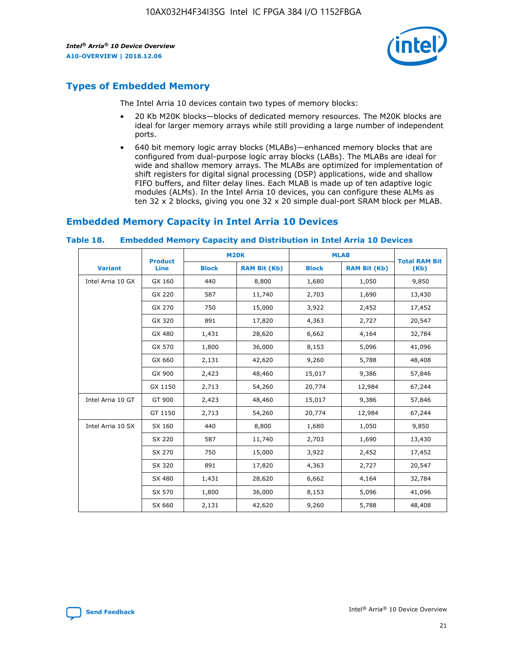![](_page_21_Picture_2.jpeg)

# **Types of Embedded Memory**

The Intel Arria 10 devices contain two types of memory blocks:

- 20 Kb M20K blocks—blocks of dedicated memory resources. The M20K blocks are ideal for larger memory arrays while still providing a large number of independent ports.
- 640 bit memory logic array blocks (MLABs)—enhanced memory blocks that are configured from dual-purpose logic array blocks (LABs). The MLABs are ideal for wide and shallow memory arrays. The MLABs are optimized for implementation of shift registers for digital signal processing (DSP) applications, wide and shallow FIFO buffers, and filter delay lines. Each MLAB is made up of ten adaptive logic modules (ALMs). In the Intel Arria 10 devices, you can configure these ALMs as ten 32 x 2 blocks, giving you one 32 x 20 simple dual-port SRAM block per MLAB.

# **Embedded Memory Capacity in Intel Arria 10 Devices**

|                   | <b>Product</b> |              | <b>M20K</b>         |              | <b>MLAB</b>         | <b>Total RAM Bit</b> |
|-------------------|----------------|--------------|---------------------|--------------|---------------------|----------------------|
| <b>Variant</b>    | Line           | <b>Block</b> | <b>RAM Bit (Kb)</b> | <b>Block</b> | <b>RAM Bit (Kb)</b> | (Kb)                 |
| Intel Arria 10 GX | GX 160         | 440          | 8,800               | 1,680        | 1,050               | 9,850                |
|                   | GX 220         | 587          | 11,740              | 2,703        | 1,690               | 13,430               |
|                   | GX 270         | 750          | 15,000              | 3,922        | 2,452               | 17,452               |
|                   | GX 320         | 891          | 17,820              | 4,363        | 2,727               | 20,547               |
|                   | GX 480         | 1,431        | 28,620              | 6,662        | 4,164               | 32,784               |
|                   | GX 570         | 1,800        | 36,000              | 8,153        | 5,096               | 41,096               |
|                   | GX 660         | 2,131        | 42,620              | 9,260        | 5,788               | 48,408               |
|                   | GX 900         | 2,423        | 48,460              | 15,017       | 9,386               | 57,846               |
|                   | GX 1150        | 2,713        | 54,260              | 20,774       | 12,984              | 67,244               |
| Intel Arria 10 GT | GT 900         | 2,423        | 48,460              | 15,017       | 9,386               | 57,846               |
|                   | GT 1150        | 2,713        | 54,260              | 20,774       | 12,984              | 67,244               |
| Intel Arria 10 SX | SX 160         | 440          | 8,800               | 1,680        | 1,050               | 9,850                |
|                   | SX 220         | 587          | 11,740              | 2,703        | 1,690               | 13,430               |
|                   | SX 270         | 750          | 15,000              | 3,922        | 2,452               | 17,452               |
|                   | SX 320         | 891          | 17,820              | 4,363        | 2,727               | 20,547               |
|                   | SX 480         | 1,431        | 28,620              | 6,662        | 4,164               | 32,784               |
|                   | SX 570         | 1,800        | 36,000              | 8,153        | 5,096               | 41,096               |
|                   | SX 660         | 2,131        | 42,620              | 9,260        | 5,788               | 48,408               |

#### **Table 18. Embedded Memory Capacity and Distribution in Intel Arria 10 Devices**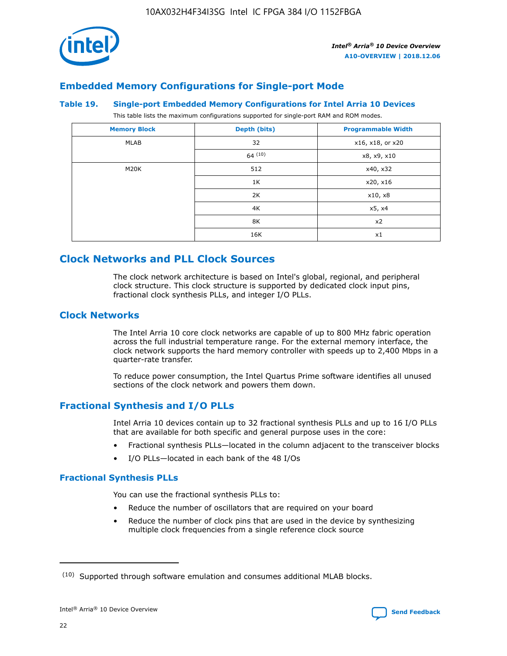![](_page_22_Picture_1.jpeg)

# **Embedded Memory Configurations for Single-port Mode**

## **Table 19. Single-port Embedded Memory Configurations for Intel Arria 10 Devices**

This table lists the maximum configurations supported for single-port RAM and ROM modes.

| <b>Memory Block</b> | Depth (bits) | <b>Programmable Width</b> |
|---------------------|--------------|---------------------------|
| MLAB                | 32           | x16, x18, or x20          |
|                     | 64(10)       | x8, x9, x10               |
| M20K                | 512          | x40, x32                  |
|                     | 1K           | x20, x16                  |
|                     | 2K           | x10, x8                   |
|                     | 4K           | x5, x4                    |
|                     | 8K           | x2                        |
|                     | 16K          | x1                        |

# **Clock Networks and PLL Clock Sources**

The clock network architecture is based on Intel's global, regional, and peripheral clock structure. This clock structure is supported by dedicated clock input pins, fractional clock synthesis PLLs, and integer I/O PLLs.

# **Clock Networks**

The Intel Arria 10 core clock networks are capable of up to 800 MHz fabric operation across the full industrial temperature range. For the external memory interface, the clock network supports the hard memory controller with speeds up to 2,400 Mbps in a quarter-rate transfer.

To reduce power consumption, the Intel Quartus Prime software identifies all unused sections of the clock network and powers them down.

# **Fractional Synthesis and I/O PLLs**

Intel Arria 10 devices contain up to 32 fractional synthesis PLLs and up to 16 I/O PLLs that are available for both specific and general purpose uses in the core:

- Fractional synthesis PLLs—located in the column adjacent to the transceiver blocks
- I/O PLLs—located in each bank of the 48 I/Os

## **Fractional Synthesis PLLs**

You can use the fractional synthesis PLLs to:

- Reduce the number of oscillators that are required on your board
- Reduce the number of clock pins that are used in the device by synthesizing multiple clock frequencies from a single reference clock source

<sup>(10)</sup> Supported through software emulation and consumes additional MLAB blocks.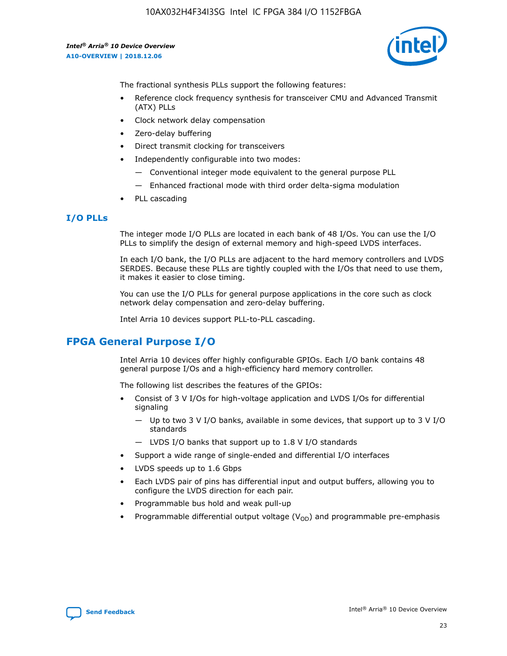![](_page_23_Picture_2.jpeg)

The fractional synthesis PLLs support the following features:

- Reference clock frequency synthesis for transceiver CMU and Advanced Transmit (ATX) PLLs
- Clock network delay compensation
- Zero-delay buffering
- Direct transmit clocking for transceivers
- Independently configurable into two modes:
	- Conventional integer mode equivalent to the general purpose PLL
	- Enhanced fractional mode with third order delta-sigma modulation
- PLL cascading

# **I/O PLLs**

The integer mode I/O PLLs are located in each bank of 48 I/Os. You can use the I/O PLLs to simplify the design of external memory and high-speed LVDS interfaces.

In each I/O bank, the I/O PLLs are adjacent to the hard memory controllers and LVDS SERDES. Because these PLLs are tightly coupled with the I/Os that need to use them, it makes it easier to close timing.

You can use the I/O PLLs for general purpose applications in the core such as clock network delay compensation and zero-delay buffering.

Intel Arria 10 devices support PLL-to-PLL cascading.

# **FPGA General Purpose I/O**

Intel Arria 10 devices offer highly configurable GPIOs. Each I/O bank contains 48 general purpose I/Os and a high-efficiency hard memory controller.

The following list describes the features of the GPIOs:

- Consist of 3 V I/Os for high-voltage application and LVDS I/Os for differential signaling
	- Up to two 3 V I/O banks, available in some devices, that support up to 3 V I/O standards
	- LVDS I/O banks that support up to 1.8 V I/O standards
- Support a wide range of single-ended and differential I/O interfaces
- LVDS speeds up to 1.6 Gbps
- Each LVDS pair of pins has differential input and output buffers, allowing you to configure the LVDS direction for each pair.
- Programmable bus hold and weak pull-up
- Programmable differential output voltage  $(V_{OD})$  and programmable pre-emphasis

![](_page_23_Picture_28.jpeg)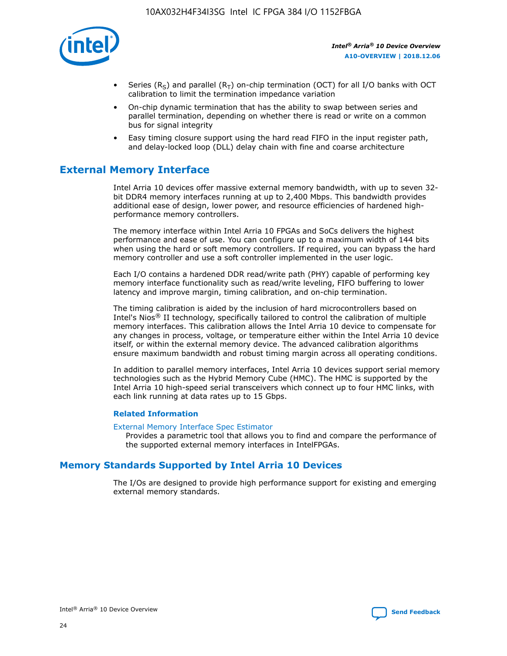![](_page_24_Picture_1.jpeg)

- Series (R<sub>S</sub>) and parallel (R<sub>T</sub>) on-chip termination (OCT) for all I/O banks with OCT calibration to limit the termination impedance variation
- On-chip dynamic termination that has the ability to swap between series and parallel termination, depending on whether there is read or write on a common bus for signal integrity
- Easy timing closure support using the hard read FIFO in the input register path, and delay-locked loop (DLL) delay chain with fine and coarse architecture

# **External Memory Interface**

Intel Arria 10 devices offer massive external memory bandwidth, with up to seven 32 bit DDR4 memory interfaces running at up to 2,400 Mbps. This bandwidth provides additional ease of design, lower power, and resource efficiencies of hardened highperformance memory controllers.

The memory interface within Intel Arria 10 FPGAs and SoCs delivers the highest performance and ease of use. You can configure up to a maximum width of 144 bits when using the hard or soft memory controllers. If required, you can bypass the hard memory controller and use a soft controller implemented in the user logic.

Each I/O contains a hardened DDR read/write path (PHY) capable of performing key memory interface functionality such as read/write leveling, FIFO buffering to lower latency and improve margin, timing calibration, and on-chip termination.

The timing calibration is aided by the inclusion of hard microcontrollers based on Intel's Nios® II technology, specifically tailored to control the calibration of multiple memory interfaces. This calibration allows the Intel Arria 10 device to compensate for any changes in process, voltage, or temperature either within the Intel Arria 10 device itself, or within the external memory device. The advanced calibration algorithms ensure maximum bandwidth and robust timing margin across all operating conditions.

In addition to parallel memory interfaces, Intel Arria 10 devices support serial memory technologies such as the Hybrid Memory Cube (HMC). The HMC is supported by the Intel Arria 10 high-speed serial transceivers which connect up to four HMC links, with each link running at data rates up to 15 Gbps.

## **Related Information**

#### [External Memory Interface Spec Estimator](http://www.altera.com/technology/memory/estimator/mem-emif-index.html)

Provides a parametric tool that allows you to find and compare the performance of the supported external memory interfaces in IntelFPGAs.

# **Memory Standards Supported by Intel Arria 10 Devices**

The I/Os are designed to provide high performance support for existing and emerging external memory standards.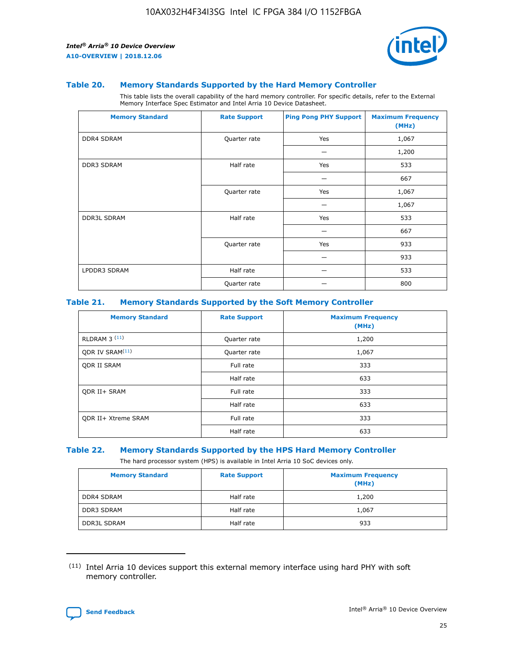![](_page_25_Picture_2.jpeg)

#### **Table 20. Memory Standards Supported by the Hard Memory Controller**

This table lists the overall capability of the hard memory controller. For specific details, refer to the External Memory Interface Spec Estimator and Intel Arria 10 Device Datasheet.

| <b>Memory Standard</b> | <b>Rate Support</b> | <b>Ping Pong PHY Support</b> | <b>Maximum Frequency</b><br>(MHz) |
|------------------------|---------------------|------------------------------|-----------------------------------|
| <b>DDR4 SDRAM</b>      | Quarter rate        | Yes                          | 1,067                             |
|                        |                     |                              | 1,200                             |
| DDR3 SDRAM             | Half rate           | Yes                          | 533                               |
|                        |                     |                              | 667                               |
|                        | Quarter rate        | Yes                          | 1,067                             |
|                        |                     |                              | 1,067                             |
| <b>DDR3L SDRAM</b>     | Half rate           | Yes                          | 533                               |
|                        |                     |                              | 667                               |
|                        | Quarter rate        | Yes                          | 933                               |
|                        |                     |                              | 933                               |
| LPDDR3 SDRAM           | Half rate           |                              | 533                               |
|                        | Quarter rate        |                              | 800                               |

#### **Table 21. Memory Standards Supported by the Soft Memory Controller**

| <b>Memory Standard</b>      | <b>Rate Support</b> | <b>Maximum Frequency</b><br>(MHz) |
|-----------------------------|---------------------|-----------------------------------|
| <b>RLDRAM 3 (11)</b>        | Quarter rate        | 1,200                             |
| ODR IV SRAM <sup>(11)</sup> | Quarter rate        | 1,067                             |
| <b>ODR II SRAM</b>          | Full rate           | 333                               |
|                             | Half rate           | 633                               |
| <b>ODR II+ SRAM</b>         | Full rate           | 333                               |
|                             | Half rate           | 633                               |
| <b>ODR II+ Xtreme SRAM</b>  | Full rate           | 333                               |
|                             | Half rate           | 633                               |

#### **Table 22. Memory Standards Supported by the HPS Hard Memory Controller**

The hard processor system (HPS) is available in Intel Arria 10 SoC devices only.

| <b>Memory Standard</b> | <b>Rate Support</b> | <b>Maximum Frequency</b><br>(MHz) |
|------------------------|---------------------|-----------------------------------|
| <b>DDR4 SDRAM</b>      | Half rate           | 1,200                             |
| DDR3 SDRAM             | Half rate           | 1,067                             |
| <b>DDR3L SDRAM</b>     | Half rate           | 933                               |

<sup>(11)</sup> Intel Arria 10 devices support this external memory interface using hard PHY with soft memory controller.

![](_page_25_Picture_12.jpeg)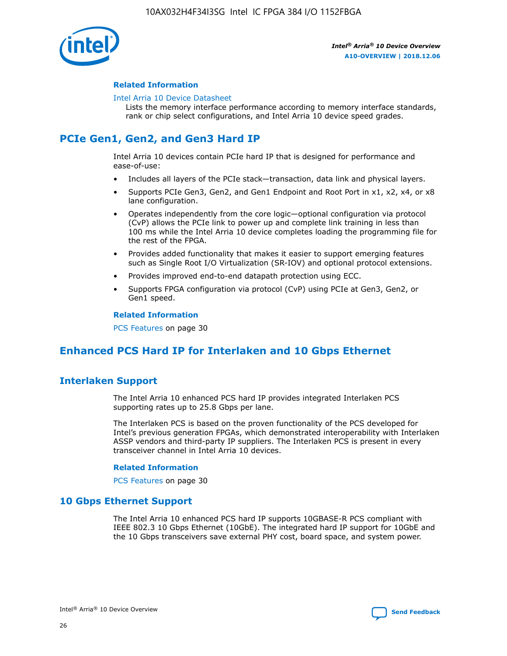![](_page_26_Picture_1.jpeg)

## **Related Information**

#### [Intel Arria 10 Device Datasheet](https://www.intel.com/content/www/us/en/programmable/documentation/mcn1413182292568.html#mcn1413182153340)

Lists the memory interface performance according to memory interface standards, rank or chip select configurations, and Intel Arria 10 device speed grades.

# **PCIe Gen1, Gen2, and Gen3 Hard IP**

Intel Arria 10 devices contain PCIe hard IP that is designed for performance and ease-of-use:

- Includes all layers of the PCIe stack—transaction, data link and physical layers.
- Supports PCIe Gen3, Gen2, and Gen1 Endpoint and Root Port in x1, x2, x4, or x8 lane configuration.
- Operates independently from the core logic—optional configuration via protocol (CvP) allows the PCIe link to power up and complete link training in less than 100 ms while the Intel Arria 10 device completes loading the programming file for the rest of the FPGA.
- Provides added functionality that makes it easier to support emerging features such as Single Root I/O Virtualization (SR-IOV) and optional protocol extensions.
- Provides improved end-to-end datapath protection using ECC.
- Supports FPGA configuration via protocol (CvP) using PCIe at Gen3, Gen2, or Gen1 speed.

#### **Related Information**

PCS Features on page 30

# **Enhanced PCS Hard IP for Interlaken and 10 Gbps Ethernet**

# **Interlaken Support**

The Intel Arria 10 enhanced PCS hard IP provides integrated Interlaken PCS supporting rates up to 25.8 Gbps per lane.

The Interlaken PCS is based on the proven functionality of the PCS developed for Intel's previous generation FPGAs, which demonstrated interoperability with Interlaken ASSP vendors and third-party IP suppliers. The Interlaken PCS is present in every transceiver channel in Intel Arria 10 devices.

## **Related Information**

PCS Features on page 30

# **10 Gbps Ethernet Support**

The Intel Arria 10 enhanced PCS hard IP supports 10GBASE-R PCS compliant with IEEE 802.3 10 Gbps Ethernet (10GbE). The integrated hard IP support for 10GbE and the 10 Gbps transceivers save external PHY cost, board space, and system power.

![](_page_26_Picture_24.jpeg)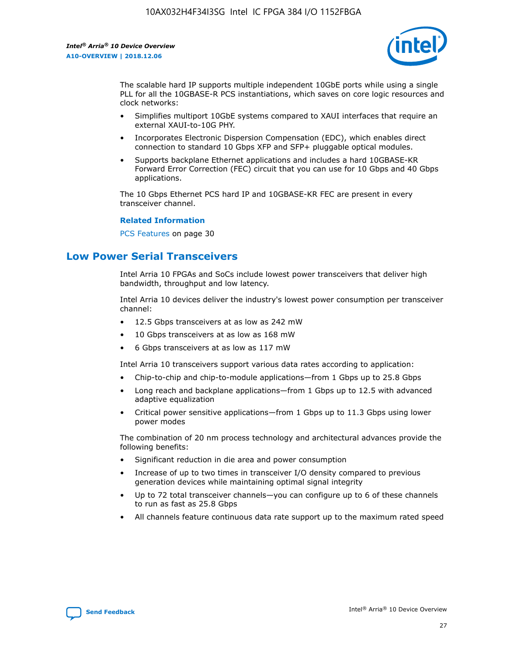![](_page_27_Picture_2.jpeg)

The scalable hard IP supports multiple independent 10GbE ports while using a single PLL for all the 10GBASE-R PCS instantiations, which saves on core logic resources and clock networks:

- Simplifies multiport 10GbE systems compared to XAUI interfaces that require an external XAUI-to-10G PHY.
- Incorporates Electronic Dispersion Compensation (EDC), which enables direct connection to standard 10 Gbps XFP and SFP+ pluggable optical modules.
- Supports backplane Ethernet applications and includes a hard 10GBASE-KR Forward Error Correction (FEC) circuit that you can use for 10 Gbps and 40 Gbps applications.

The 10 Gbps Ethernet PCS hard IP and 10GBASE-KR FEC are present in every transceiver channel.

#### **Related Information**

PCS Features on page 30

# **Low Power Serial Transceivers**

Intel Arria 10 FPGAs and SoCs include lowest power transceivers that deliver high bandwidth, throughput and low latency.

Intel Arria 10 devices deliver the industry's lowest power consumption per transceiver channel:

- 12.5 Gbps transceivers at as low as 242 mW
- 10 Gbps transceivers at as low as 168 mW
- 6 Gbps transceivers at as low as 117 mW

Intel Arria 10 transceivers support various data rates according to application:

- Chip-to-chip and chip-to-module applications—from 1 Gbps up to 25.8 Gbps
- Long reach and backplane applications—from 1 Gbps up to 12.5 with advanced adaptive equalization
- Critical power sensitive applications—from 1 Gbps up to 11.3 Gbps using lower power modes

The combination of 20 nm process technology and architectural advances provide the following benefits:

- Significant reduction in die area and power consumption
- Increase of up to two times in transceiver I/O density compared to previous generation devices while maintaining optimal signal integrity
- Up to 72 total transceiver channels—you can configure up to 6 of these channels to run as fast as 25.8 Gbps
- All channels feature continuous data rate support up to the maximum rated speed

![](_page_27_Picture_25.jpeg)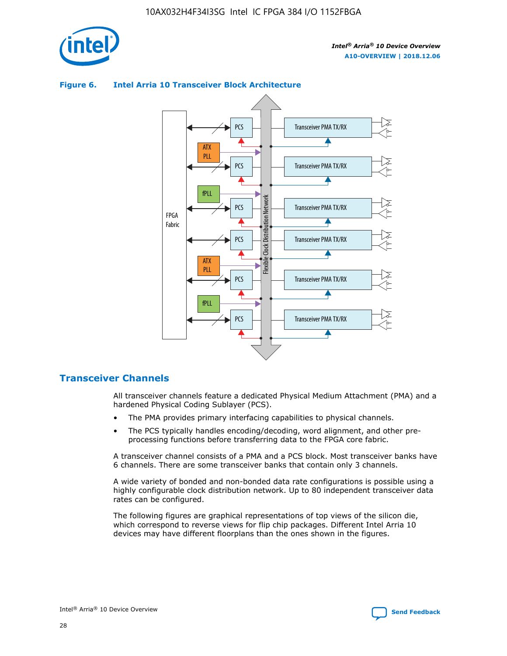![](_page_28_Picture_1.jpeg)

## **Figure 6. Intel Arria 10 Transceiver Block Architecture**

![](_page_28_Figure_4.jpeg)

# **Transceiver Channels**

All transceiver channels feature a dedicated Physical Medium Attachment (PMA) and a hardened Physical Coding Sublayer (PCS).

- The PMA provides primary interfacing capabilities to physical channels.
- The PCS typically handles encoding/decoding, word alignment, and other preprocessing functions before transferring data to the FPGA core fabric.

A transceiver channel consists of a PMA and a PCS block. Most transceiver banks have 6 channels. There are some transceiver banks that contain only 3 channels.

A wide variety of bonded and non-bonded data rate configurations is possible using a highly configurable clock distribution network. Up to 80 independent transceiver data rates can be configured.

The following figures are graphical representations of top views of the silicon die, which correspond to reverse views for flip chip packages. Different Intel Arria 10 devices may have different floorplans than the ones shown in the figures.

![](_page_28_Picture_12.jpeg)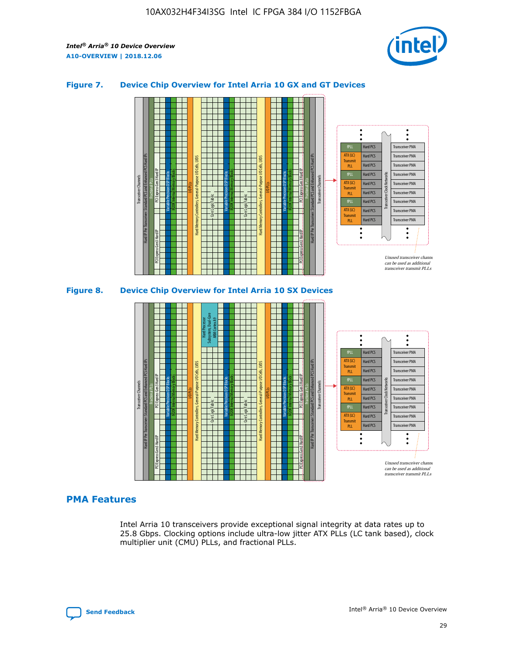![](_page_29_Picture_2.jpeg)

## **Figure 7. Device Chip Overview for Intel Arria 10 GX and GT Devices**

![](_page_29_Figure_4.jpeg)

#### M20K Internal Memory Blocks Core Logic Fabric Transceiver Channels Hard IP Per Transceiver: Standard PCS and Enhanced PCS Hard IPs PCI Express Gen3 Hard IP Fractional PLLs M20K Internal Memory Blocks PCI Express Gen3 Hard IP Variable Precision DSP Blocks I/O PLLs Hard Memory Controllers, General-Purpose I/O Cells, LVDS Hard Processor Subsystem, Dual-Core ARM Cortex A9 M20K Internal Memory Blocks Variable Precision DSP Blocks M20K Internal Memory Blocks Core Logic Fabric I/O PLLs Hard Memory Controllers, General-Purpose I/O Cells, LVDS M20K Internal Memory Blocks Variable Precision DSP Blocks M20K Internal Memory Blocks Transceiver Channels Hard IP Per Transceiver: Standard PCS and Enhanced PCS Hard IPs PCI Express Gen3 Hard IP Fractional PLLs PCI Express Gen3 Hard IP Hard PCS Hard PCS Hard PCS Hard PCS Hard PCS Hard PCS Hard PCS Hard PCS Transceiver PMA Transceiver PMA Transceiver PMA Transceiver PMA Transceiver PMA Transceiver PMA Unused transceiver chann can be used as additional transceiver transmit PLLs Transceiver PMA Transceiver PMA Transceiver Clock Networks ATX (LC) **Transmit** PLL fPLL ATX (LC) Transmi PLL fPLL ATX (LC) **Transmit** PLL

# **PMA Features**

Intel Arria 10 transceivers provide exceptional signal integrity at data rates up to 25.8 Gbps. Clocking options include ultra-low jitter ATX PLLs (LC tank based), clock multiplier unit (CMU) PLLs, and fractional PLLs.

![](_page_29_Picture_8.jpeg)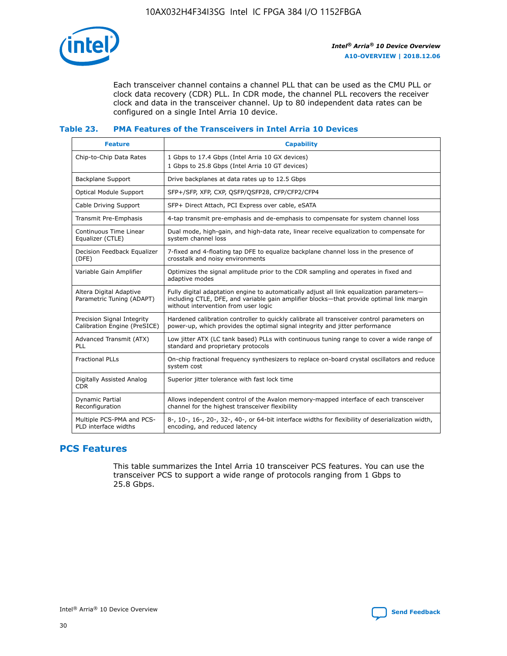![](_page_30_Picture_1.jpeg)

Each transceiver channel contains a channel PLL that can be used as the CMU PLL or clock data recovery (CDR) PLL. In CDR mode, the channel PLL recovers the receiver clock and data in the transceiver channel. Up to 80 independent data rates can be configured on a single Intel Arria 10 device.

## **Table 23. PMA Features of the Transceivers in Intel Arria 10 Devices**

| <b>Feature</b>                                             | <b>Capability</b>                                                                                                                                                                                                             |
|------------------------------------------------------------|-------------------------------------------------------------------------------------------------------------------------------------------------------------------------------------------------------------------------------|
| Chip-to-Chip Data Rates                                    | 1 Gbps to 17.4 Gbps (Intel Arria 10 GX devices)<br>1 Gbps to 25.8 Gbps (Intel Arria 10 GT devices)                                                                                                                            |
| <b>Backplane Support</b>                                   | Drive backplanes at data rates up to 12.5 Gbps                                                                                                                                                                                |
| <b>Optical Module Support</b>                              | SFP+/SFP, XFP, CXP, QSFP/QSFP28, CFP/CFP2/CFP4                                                                                                                                                                                |
| Cable Driving Support                                      | SFP+ Direct Attach, PCI Express over cable, eSATA                                                                                                                                                                             |
| Transmit Pre-Emphasis                                      | 4-tap transmit pre-emphasis and de-emphasis to compensate for system channel loss                                                                                                                                             |
| Continuous Time Linear<br>Equalizer (CTLE)                 | Dual mode, high-gain, and high-data rate, linear receive equalization to compensate for<br>system channel loss                                                                                                                |
| Decision Feedback Equalizer<br>(DFE)                       | 7-fixed and 4-floating tap DFE to equalize backplane channel loss in the presence of<br>crosstalk and noisy environments                                                                                                      |
| Variable Gain Amplifier                                    | Optimizes the signal amplitude prior to the CDR sampling and operates in fixed and<br>adaptive modes                                                                                                                          |
| Altera Digital Adaptive<br>Parametric Tuning (ADAPT)       | Fully digital adaptation engine to automatically adjust all link equalization parameters-<br>including CTLE, DFE, and variable gain amplifier blocks—that provide optimal link margin<br>without intervention from user logic |
| Precision Signal Integrity<br>Calibration Engine (PreSICE) | Hardened calibration controller to quickly calibrate all transceiver control parameters on<br>power-up, which provides the optimal signal integrity and jitter performance                                                    |
| Advanced Transmit (ATX)<br><b>PLL</b>                      | Low jitter ATX (LC tank based) PLLs with continuous tuning range to cover a wide range of<br>standard and proprietary protocols                                                                                               |
| <b>Fractional PLLs</b>                                     | On-chip fractional frequency synthesizers to replace on-board crystal oscillators and reduce<br>system cost                                                                                                                   |
| Digitally Assisted Analog<br><b>CDR</b>                    | Superior jitter tolerance with fast lock time                                                                                                                                                                                 |
| <b>Dynamic Partial</b><br>Reconfiguration                  | Allows independent control of the Avalon memory-mapped interface of each transceiver<br>channel for the highest transceiver flexibility                                                                                       |
| Multiple PCS-PMA and PCS-<br>PLD interface widths          | 8-, 10-, 16-, 20-, 32-, 40-, or 64-bit interface widths for flexibility of deserialization width,<br>encoding, and reduced latency                                                                                            |

# **PCS Features**

This table summarizes the Intel Arria 10 transceiver PCS features. You can use the transceiver PCS to support a wide range of protocols ranging from 1 Gbps to 25.8 Gbps.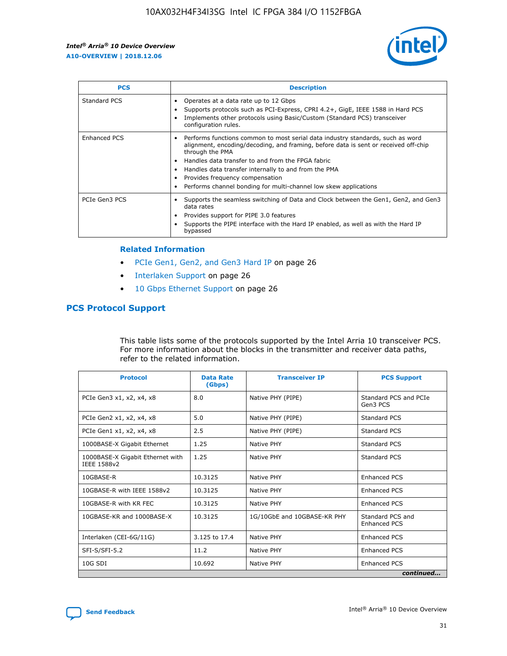![](_page_31_Picture_2.jpeg)

| <b>PCS</b>    | <b>Description</b>                                                                                                                                                                                                                                                                                                                                                                                             |
|---------------|----------------------------------------------------------------------------------------------------------------------------------------------------------------------------------------------------------------------------------------------------------------------------------------------------------------------------------------------------------------------------------------------------------------|
| Standard PCS  | Operates at a data rate up to 12 Gbps<br>Supports protocols such as PCI-Express, CPRI 4.2+, GigE, IEEE 1588 in Hard PCS<br>Implements other protocols using Basic/Custom (Standard PCS) transceiver<br>configuration rules.                                                                                                                                                                                    |
| Enhanced PCS  | Performs functions common to most serial data industry standards, such as word<br>alignment, encoding/decoding, and framing, before data is sent or received off-chip<br>through the PMA<br>• Handles data transfer to and from the FPGA fabric<br>Handles data transfer internally to and from the PMA<br>Provides frequency compensation<br>Performs channel bonding for multi-channel low skew applications |
| PCIe Gen3 PCS | Supports the seamless switching of Data and Clock between the Gen1, Gen2, and Gen3<br>data rates<br>Provides support for PIPE 3.0 features<br>Supports the PIPE interface with the Hard IP enabled, as well as with the Hard IP<br>bypassed                                                                                                                                                                    |

#### **Related Information**

- PCIe Gen1, Gen2, and Gen3 Hard IP on page 26
- Interlaken Support on page 26
- 10 Gbps Ethernet Support on page 26

# **PCS Protocol Support**

This table lists some of the protocols supported by the Intel Arria 10 transceiver PCS. For more information about the blocks in the transmitter and receiver data paths, refer to the related information.

| <b>Protocol</b>                                 | <b>Data Rate</b><br>(Gbps) | <b>Transceiver IP</b>       | <b>PCS Support</b>                      |
|-------------------------------------------------|----------------------------|-----------------------------|-----------------------------------------|
| PCIe Gen3 x1, x2, x4, x8                        | 8.0                        | Native PHY (PIPE)           | Standard PCS and PCIe<br>Gen3 PCS       |
| PCIe Gen2 x1, x2, x4, x8                        | 5.0                        | Native PHY (PIPE)           | <b>Standard PCS</b>                     |
| PCIe Gen1 x1, x2, x4, x8                        | 2.5                        | Native PHY (PIPE)           | Standard PCS                            |
| 1000BASE-X Gigabit Ethernet                     | 1.25                       | Native PHY                  | <b>Standard PCS</b>                     |
| 1000BASE-X Gigabit Ethernet with<br>IEEE 1588v2 | 1.25                       | Native PHY                  | Standard PCS                            |
| 10GBASE-R                                       | 10.3125                    | Native PHY                  | <b>Enhanced PCS</b>                     |
| 10GBASE-R with IEEE 1588v2                      | 10.3125                    | Native PHY                  | <b>Enhanced PCS</b>                     |
| 10GBASE-R with KR FEC                           | 10.3125                    | Native PHY                  | <b>Enhanced PCS</b>                     |
| 10GBASE-KR and 1000BASE-X                       | 10.3125                    | 1G/10GbE and 10GBASE-KR PHY | Standard PCS and<br><b>Enhanced PCS</b> |
| Interlaken (CEI-6G/11G)                         | 3.125 to 17.4              | Native PHY                  | <b>Enhanced PCS</b>                     |
| SFI-S/SFI-5.2                                   | 11.2                       | Native PHY                  | <b>Enhanced PCS</b>                     |
| $10G$ SDI                                       | 10.692                     | Native PHY                  | <b>Enhanced PCS</b>                     |
|                                                 |                            |                             | continued                               |

![](_page_31_Picture_11.jpeg)

**[Send Feedback](mailto:FPGAtechdocfeedback@intel.com?subject=Feedback%20on%20Intel%20Arria%2010%20Device%20Overview%20(A10-OVERVIEW%202018.12.06)&body=We%20appreciate%20your%20feedback.%20In%20your%20comments,%20also%20specify%20the%20page%20number%20or%20paragraph.%20Thank%20you.) Intel®** Arria<sup>®</sup> 10 Device Overview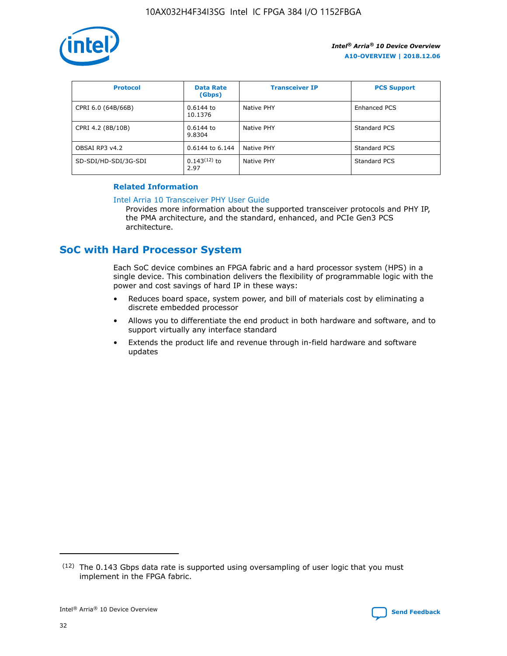![](_page_32_Picture_1.jpeg)

| <b>Protocol</b>      | <b>Data Rate</b><br>(Gbps) | <b>Transceiver IP</b> | <b>PCS Support</b> |
|----------------------|----------------------------|-----------------------|--------------------|
| CPRI 6.0 (64B/66B)   | 0.6144 to<br>10.1376       | Native PHY            | Enhanced PCS       |
| CPRI 4.2 (8B/10B)    | 0.6144 to<br>9.8304        | Native PHY            | Standard PCS       |
| OBSAI RP3 v4.2       | 0.6144 to 6.144            | Native PHY            | Standard PCS       |
| SD-SDI/HD-SDI/3G-SDI | $0.143(12)$ to<br>2.97     | Native PHY            | Standard PCS       |

# **Related Information**

#### [Intel Arria 10 Transceiver PHY User Guide](https://www.intel.com/content/www/us/en/programmable/documentation/nik1398707230472.html#nik1398707091164)

Provides more information about the supported transceiver protocols and PHY IP, the PMA architecture, and the standard, enhanced, and PCIe Gen3 PCS architecture.

# **SoC with Hard Processor System**

Each SoC device combines an FPGA fabric and a hard processor system (HPS) in a single device. This combination delivers the flexibility of programmable logic with the power and cost savings of hard IP in these ways:

- Reduces board space, system power, and bill of materials cost by eliminating a discrete embedded processor
- Allows you to differentiate the end product in both hardware and software, and to support virtually any interface standard
- Extends the product life and revenue through in-field hardware and software updates

 $(12)$  The 0.143 Gbps data rate is supported using oversampling of user logic that you must implement in the FPGA fabric.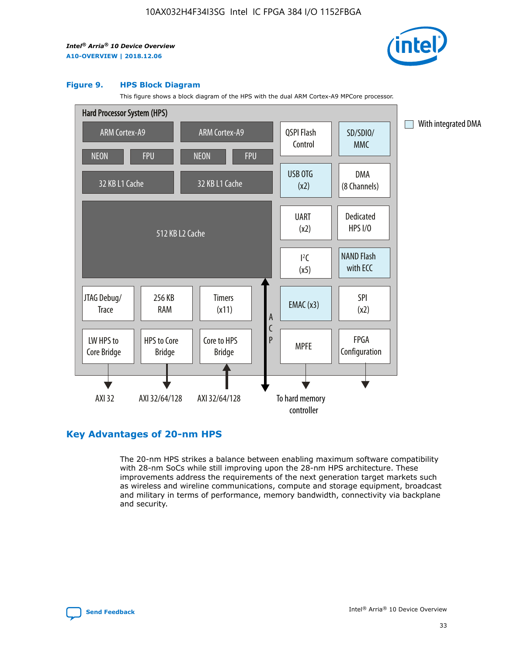![](_page_33_Picture_2.jpeg)

#### **Figure 9. HPS Block Diagram**

This figure shows a block diagram of the HPS with the dual ARM Cortex-A9 MPCore processor.

![](_page_33_Figure_5.jpeg)

# **Key Advantages of 20-nm HPS**

The 20-nm HPS strikes a balance between enabling maximum software compatibility with 28-nm SoCs while still improving upon the 28-nm HPS architecture. These improvements address the requirements of the next generation target markets such as wireless and wireline communications, compute and storage equipment, broadcast and military in terms of performance, memory bandwidth, connectivity via backplane and security.

![](_page_33_Picture_8.jpeg)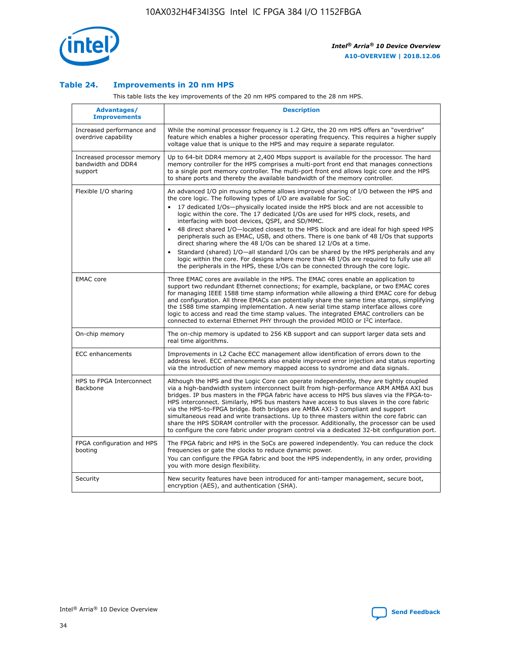![](_page_34_Picture_1.jpeg)

## **Table 24. Improvements in 20 nm HPS**

This table lists the key improvements of the 20 nm HPS compared to the 28 nm HPS.

| Advantages/<br><b>Improvements</b>                          | <b>Description</b>                                                                                                                                                                                                                                                                                                                                                                                                                                                                                                                                                                                                                                                                                                                                                                                                                   |
|-------------------------------------------------------------|--------------------------------------------------------------------------------------------------------------------------------------------------------------------------------------------------------------------------------------------------------------------------------------------------------------------------------------------------------------------------------------------------------------------------------------------------------------------------------------------------------------------------------------------------------------------------------------------------------------------------------------------------------------------------------------------------------------------------------------------------------------------------------------------------------------------------------------|
| Increased performance and<br>overdrive capability           | While the nominal processor frequency is 1.2 GHz, the 20 nm HPS offers an "overdrive"<br>feature which enables a higher processor operating frequency. This requires a higher supply<br>voltage value that is unique to the HPS and may require a separate requlator.                                                                                                                                                                                                                                                                                                                                                                                                                                                                                                                                                                |
| Increased processor memory<br>bandwidth and DDR4<br>support | Up to 64-bit DDR4 memory at 2,400 Mbps support is available for the processor. The hard<br>memory controller for the HPS comprises a multi-port front end that manages connections<br>to a single port memory controller. The multi-port front end allows logic core and the HPS<br>to share ports and thereby the available bandwidth of the memory controller.                                                                                                                                                                                                                                                                                                                                                                                                                                                                     |
| Flexible I/O sharing                                        | An advanced I/O pin muxing scheme allows improved sharing of I/O between the HPS and<br>the core logic. The following types of I/O are available for SoC:<br>17 dedicated I/Os-physically located inside the HPS block and are not accessible to<br>logic within the core. The 17 dedicated I/Os are used for HPS clock, resets, and<br>interfacing with boot devices, QSPI, and SD/MMC.<br>48 direct shared I/O-located closest to the HPS block and are ideal for high speed HPS<br>peripherals such as EMAC, USB, and others. There is one bank of 48 I/Os that supports<br>direct sharing where the 48 I/Os can be shared 12 I/Os at a time.<br>Standard (shared) I/O—all standard I/Os can be shared by the HPS peripherals and any<br>logic within the core. For designs where more than 48 I/Os are required to fully use all |
| <b>EMAC</b> core                                            | the peripherals in the HPS, these I/Os can be connected through the core logic.<br>Three EMAC cores are available in the HPS. The EMAC cores enable an application to                                                                                                                                                                                                                                                                                                                                                                                                                                                                                                                                                                                                                                                                |
|                                                             | support two redundant Ethernet connections; for example, backplane, or two EMAC cores<br>for managing IEEE 1588 time stamp information while allowing a third EMAC core for debug<br>and configuration. All three EMACs can potentially share the same time stamps, simplifying<br>the 1588 time stamping implementation. A new serial time stamp interface allows core<br>logic to access and read the time stamp values. The integrated EMAC controllers can be<br>connected to external Ethernet PHY through the provided MDIO or I <sup>2</sup> C interface.                                                                                                                                                                                                                                                                     |
| On-chip memory                                              | The on-chip memory is updated to 256 KB support and can support larger data sets and<br>real time algorithms.                                                                                                                                                                                                                                                                                                                                                                                                                                                                                                                                                                                                                                                                                                                        |
| <b>ECC</b> enhancements                                     | Improvements in L2 Cache ECC management allow identification of errors down to the<br>address level. ECC enhancements also enable improved error injection and status reporting<br>via the introduction of new memory mapped access to syndrome and data signals.                                                                                                                                                                                                                                                                                                                                                                                                                                                                                                                                                                    |
| HPS to FPGA Interconnect<br>Backbone                        | Although the HPS and the Logic Core can operate independently, they are tightly coupled<br>via a high-bandwidth system interconnect built from high-performance ARM AMBA AXI bus<br>bridges. IP bus masters in the FPGA fabric have access to HPS bus slaves via the FPGA-to-<br>HPS interconnect. Similarly, HPS bus masters have access to bus slaves in the core fabric<br>via the HPS-to-FPGA bridge. Both bridges are AMBA AXI-3 compliant and support<br>simultaneous read and write transactions. Up to three masters within the core fabric can<br>share the HPS SDRAM controller with the processor. Additionally, the processor can be used<br>to configure the core fabric under program control via a dedicated 32-bit configuration port.                                                                               |
| FPGA configuration and HPS<br>booting                       | The FPGA fabric and HPS in the SoCs are powered independently. You can reduce the clock<br>frequencies or gate the clocks to reduce dynamic power.<br>You can configure the FPGA fabric and boot the HPS independently, in any order, providing<br>you with more design flexibility.                                                                                                                                                                                                                                                                                                                                                                                                                                                                                                                                                 |
| Security                                                    | New security features have been introduced for anti-tamper management, secure boot,<br>encryption (AES), and authentication (SHA).                                                                                                                                                                                                                                                                                                                                                                                                                                                                                                                                                                                                                                                                                                   |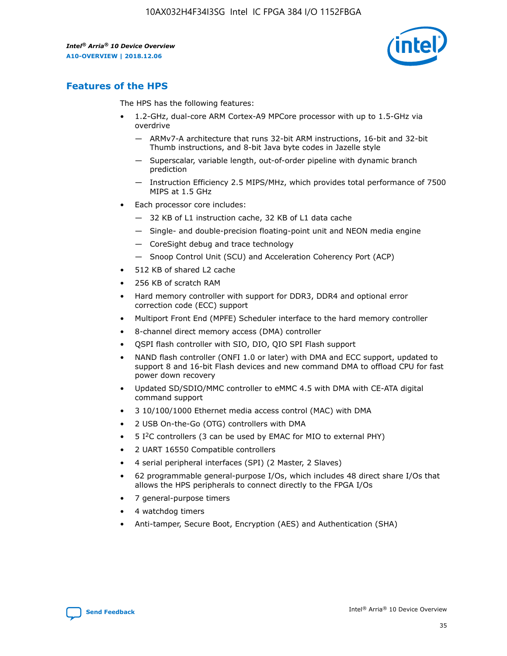![](_page_35_Picture_2.jpeg)

# **Features of the HPS**

The HPS has the following features:

- 1.2-GHz, dual-core ARM Cortex-A9 MPCore processor with up to 1.5-GHz via overdrive
	- ARMv7-A architecture that runs 32-bit ARM instructions, 16-bit and 32-bit Thumb instructions, and 8-bit Java byte codes in Jazelle style
	- Superscalar, variable length, out-of-order pipeline with dynamic branch prediction
	- Instruction Efficiency 2.5 MIPS/MHz, which provides total performance of 7500 MIPS at 1.5 GHz
- Each processor core includes:
	- 32 KB of L1 instruction cache, 32 KB of L1 data cache
	- Single- and double-precision floating-point unit and NEON media engine
	- CoreSight debug and trace technology
	- Snoop Control Unit (SCU) and Acceleration Coherency Port (ACP)
- 512 KB of shared L2 cache
- 256 KB of scratch RAM
- Hard memory controller with support for DDR3, DDR4 and optional error correction code (ECC) support
- Multiport Front End (MPFE) Scheduler interface to the hard memory controller
- 8-channel direct memory access (DMA) controller
- QSPI flash controller with SIO, DIO, QIO SPI Flash support
- NAND flash controller (ONFI 1.0 or later) with DMA and ECC support, updated to support 8 and 16-bit Flash devices and new command DMA to offload CPU for fast power down recovery
- Updated SD/SDIO/MMC controller to eMMC 4.5 with DMA with CE-ATA digital command support
- 3 10/100/1000 Ethernet media access control (MAC) with DMA
- 2 USB On-the-Go (OTG) controllers with DMA
- $\bullet$  5 I<sup>2</sup>C controllers (3 can be used by EMAC for MIO to external PHY)
- 2 UART 16550 Compatible controllers
- 4 serial peripheral interfaces (SPI) (2 Master, 2 Slaves)
- 62 programmable general-purpose I/Os, which includes 48 direct share I/Os that allows the HPS peripherals to connect directly to the FPGA I/Os
- 7 general-purpose timers
- 4 watchdog timers
- Anti-tamper, Secure Boot, Encryption (AES) and Authentication (SHA)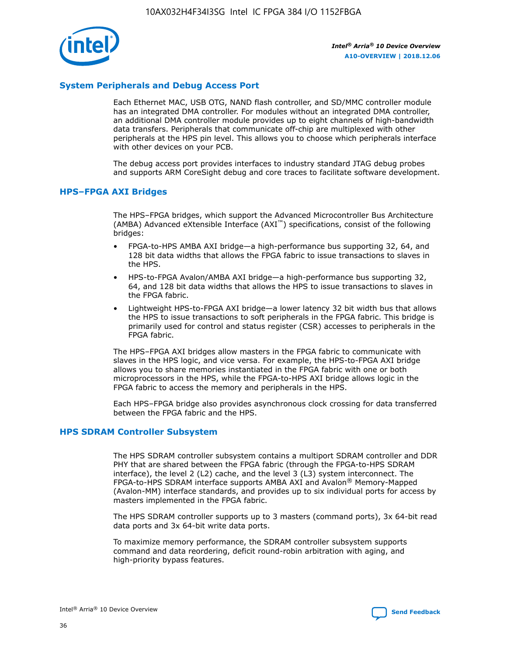![](_page_36_Picture_1.jpeg)

# **System Peripherals and Debug Access Port**

Each Ethernet MAC, USB OTG, NAND flash controller, and SD/MMC controller module has an integrated DMA controller. For modules without an integrated DMA controller, an additional DMA controller module provides up to eight channels of high-bandwidth data transfers. Peripherals that communicate off-chip are multiplexed with other peripherals at the HPS pin level. This allows you to choose which peripherals interface with other devices on your PCB.

The debug access port provides interfaces to industry standard JTAG debug probes and supports ARM CoreSight debug and core traces to facilitate software development.

#### **HPS–FPGA AXI Bridges**

The HPS–FPGA bridges, which support the Advanced Microcontroller Bus Architecture (AMBA) Advanced eXtensible Interface (AXI™) specifications, consist of the following bridges:

- FPGA-to-HPS AMBA AXI bridge—a high-performance bus supporting 32, 64, and 128 bit data widths that allows the FPGA fabric to issue transactions to slaves in the HPS.
- HPS-to-FPGA Avalon/AMBA AXI bridge—a high-performance bus supporting 32, 64, and 128 bit data widths that allows the HPS to issue transactions to slaves in the FPGA fabric.
- Lightweight HPS-to-FPGA AXI bridge—a lower latency 32 bit width bus that allows the HPS to issue transactions to soft peripherals in the FPGA fabric. This bridge is primarily used for control and status register (CSR) accesses to peripherals in the FPGA fabric.

The HPS–FPGA AXI bridges allow masters in the FPGA fabric to communicate with slaves in the HPS logic, and vice versa. For example, the HPS-to-FPGA AXI bridge allows you to share memories instantiated in the FPGA fabric with one or both microprocessors in the HPS, while the FPGA-to-HPS AXI bridge allows logic in the FPGA fabric to access the memory and peripherals in the HPS.

Each HPS–FPGA bridge also provides asynchronous clock crossing for data transferred between the FPGA fabric and the HPS.

#### **HPS SDRAM Controller Subsystem**

The HPS SDRAM controller subsystem contains a multiport SDRAM controller and DDR PHY that are shared between the FPGA fabric (through the FPGA-to-HPS SDRAM interface), the level 2 (L2) cache, and the level 3 (L3) system interconnect. The FPGA-to-HPS SDRAM interface supports AMBA AXI and Avalon® Memory-Mapped (Avalon-MM) interface standards, and provides up to six individual ports for access by masters implemented in the FPGA fabric.

The HPS SDRAM controller supports up to 3 masters (command ports), 3x 64-bit read data ports and 3x 64-bit write data ports.

To maximize memory performance, the SDRAM controller subsystem supports command and data reordering, deficit round-robin arbitration with aging, and high-priority bypass features.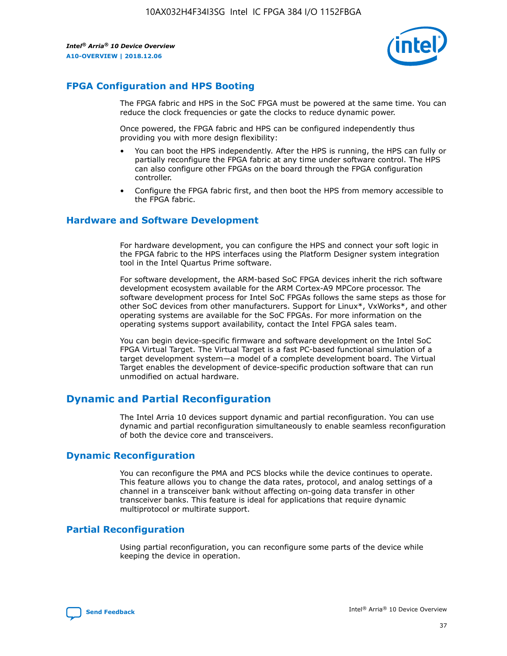![](_page_37_Picture_2.jpeg)

# **FPGA Configuration and HPS Booting**

The FPGA fabric and HPS in the SoC FPGA must be powered at the same time. You can reduce the clock frequencies or gate the clocks to reduce dynamic power.

Once powered, the FPGA fabric and HPS can be configured independently thus providing you with more design flexibility:

- You can boot the HPS independently. After the HPS is running, the HPS can fully or partially reconfigure the FPGA fabric at any time under software control. The HPS can also configure other FPGAs on the board through the FPGA configuration controller.
- Configure the FPGA fabric first, and then boot the HPS from memory accessible to the FPGA fabric.

## **Hardware and Software Development**

For hardware development, you can configure the HPS and connect your soft logic in the FPGA fabric to the HPS interfaces using the Platform Designer system integration tool in the Intel Quartus Prime software.

For software development, the ARM-based SoC FPGA devices inherit the rich software development ecosystem available for the ARM Cortex-A9 MPCore processor. The software development process for Intel SoC FPGAs follows the same steps as those for other SoC devices from other manufacturers. Support for Linux\*, VxWorks\*, and other operating systems are available for the SoC FPGAs. For more information on the operating systems support availability, contact the Intel FPGA sales team.

You can begin device-specific firmware and software development on the Intel SoC FPGA Virtual Target. The Virtual Target is a fast PC-based functional simulation of a target development system—a model of a complete development board. The Virtual Target enables the development of device-specific production software that can run unmodified on actual hardware.

# **Dynamic and Partial Reconfiguration**

The Intel Arria 10 devices support dynamic and partial reconfiguration. You can use dynamic and partial reconfiguration simultaneously to enable seamless reconfiguration of both the device core and transceivers.

# **Dynamic Reconfiguration**

You can reconfigure the PMA and PCS blocks while the device continues to operate. This feature allows you to change the data rates, protocol, and analog settings of a channel in a transceiver bank without affecting on-going data transfer in other transceiver banks. This feature is ideal for applications that require dynamic multiprotocol or multirate support.

# **Partial Reconfiguration**

Using partial reconfiguration, you can reconfigure some parts of the device while keeping the device in operation.

![](_page_37_Picture_18.jpeg)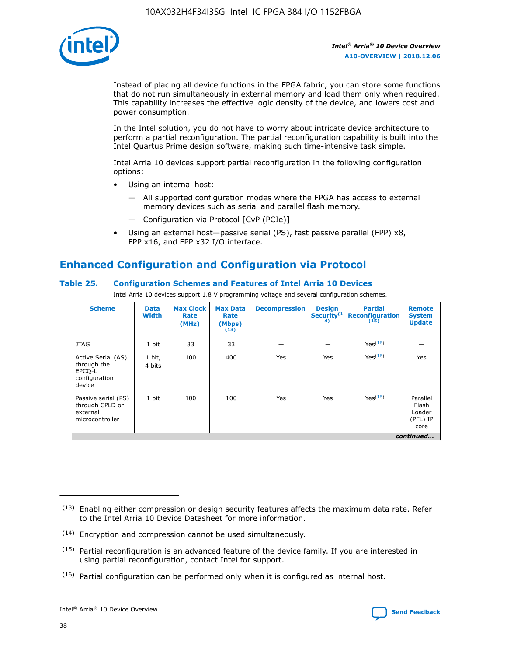![](_page_38_Picture_1.jpeg)

Instead of placing all device functions in the FPGA fabric, you can store some functions that do not run simultaneously in external memory and load them only when required. This capability increases the effective logic density of the device, and lowers cost and power consumption.

In the Intel solution, you do not have to worry about intricate device architecture to perform a partial reconfiguration. The partial reconfiguration capability is built into the Intel Quartus Prime design software, making such time-intensive task simple.

Intel Arria 10 devices support partial reconfiguration in the following configuration options:

- Using an internal host:
	- All supported configuration modes where the FPGA has access to external memory devices such as serial and parallel flash memory.
	- Configuration via Protocol [CvP (PCIe)]
- Using an external host—passive serial (PS), fast passive parallel (FPP) x8, FPP x16, and FPP x32 I/O interface.

# **Enhanced Configuration and Configuration via Protocol**

## **Table 25. Configuration Schemes and Features of Intel Arria 10 Devices**

Intel Arria 10 devices support 1.8 V programming voltage and several configuration schemes.

| <b>Scheme</b>                                                          | <b>Data</b><br><b>Width</b> | <b>Max Clock</b><br>Rate<br>(MHz) | <b>Max Data</b><br>Rate<br>(Mbps)<br>(13) | <b>Decompression</b> | <b>Design</b><br>Security <sup>(1</sup><br>4) | <b>Partial</b><br>Reconfiguration<br>(15) | <b>Remote</b><br><b>System</b><br><b>Update</b> |
|------------------------------------------------------------------------|-----------------------------|-----------------------------------|-------------------------------------------|----------------------|-----------------------------------------------|-------------------------------------------|-------------------------------------------------|
| <b>JTAG</b>                                                            | 1 bit                       | 33                                | 33                                        |                      |                                               | Yes(16)                                   |                                                 |
| Active Serial (AS)<br>through the<br>EPCO-L<br>configuration<br>device | 1 bit,<br>4 bits            | 100                               | 400                                       | Yes                  | Yes                                           | Yes(16)                                   | Yes                                             |
| Passive serial (PS)<br>through CPLD or<br>external<br>microcontroller  | 1 bit                       | 100                               | 100                                       | Yes                  | Yes                                           | Yes <sup>(16)</sup>                       | Parallel<br>Flash<br>Loader<br>(PFL) IP<br>core |
|                                                                        |                             |                                   |                                           |                      |                                               |                                           | continued                                       |

<sup>(13)</sup> Enabling either compression or design security features affects the maximum data rate. Refer to the Intel Arria 10 Device Datasheet for more information.

<sup>(14)</sup> Encryption and compression cannot be used simultaneously.

 $(15)$  Partial reconfiguration is an advanced feature of the device family. If you are interested in using partial reconfiguration, contact Intel for support.

 $(16)$  Partial configuration can be performed only when it is configured as internal host.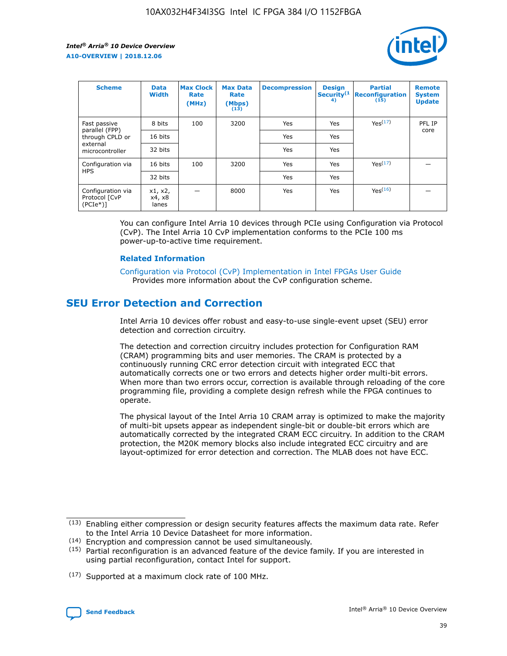![](_page_39_Picture_2.jpeg)

| <b>Scheme</b>                                   | <b>Data</b><br><b>Width</b> | <b>Max Clock</b><br>Rate<br>(MHz) | <b>Max Data</b><br>Rate<br>(Mbps)<br>(13) | <b>Decompression</b> | <b>Design</b><br>Security <sup>(1</sup><br>4) | <b>Partial</b><br><b>Reconfiguration</b><br>(15) | <b>Remote</b><br><b>System</b><br><b>Update</b> |
|-------------------------------------------------|-----------------------------|-----------------------------------|-------------------------------------------|----------------------|-----------------------------------------------|--------------------------------------------------|-------------------------------------------------|
| Fast passive                                    | 8 bits                      | 100                               | 3200                                      | Yes                  | Yes                                           | Yes(17)                                          | PFL IP                                          |
| parallel (FPP)<br>through CPLD or               | 16 bits                     |                                   |                                           | Yes                  | Yes                                           |                                                  | core                                            |
| external<br>microcontroller                     | 32 bits                     |                                   |                                           | Yes                  | Yes                                           |                                                  |                                                 |
| Configuration via                               | 16 bits                     | 100                               | 3200                                      | Yes                  | Yes                                           | Yes <sup>(17)</sup>                              |                                                 |
| <b>HPS</b>                                      | 32 bits                     |                                   |                                           | Yes                  | Yes                                           |                                                  |                                                 |
| Configuration via<br>Protocol [CvP<br>$(PCIe*)$ | x1, x2,<br>x4, x8<br>lanes  |                                   | 8000                                      | Yes                  | Yes                                           | Yes <sup>(16)</sup>                              |                                                 |

You can configure Intel Arria 10 devices through PCIe using Configuration via Protocol (CvP). The Intel Arria 10 CvP implementation conforms to the PCIe 100 ms power-up-to-active time requirement.

#### **Related Information**

[Configuration via Protocol \(CvP\) Implementation in Intel FPGAs User Guide](https://www.intel.com/content/www/us/en/programmable/documentation/dsu1441819344145.html#dsu1442269728522) Provides more information about the CvP configuration scheme.

# **SEU Error Detection and Correction**

Intel Arria 10 devices offer robust and easy-to-use single-event upset (SEU) error detection and correction circuitry.

The detection and correction circuitry includes protection for Configuration RAM (CRAM) programming bits and user memories. The CRAM is protected by a continuously running CRC error detection circuit with integrated ECC that automatically corrects one or two errors and detects higher order multi-bit errors. When more than two errors occur, correction is available through reloading of the core programming file, providing a complete design refresh while the FPGA continues to operate.

The physical layout of the Intel Arria 10 CRAM array is optimized to make the majority of multi-bit upsets appear as independent single-bit or double-bit errors which are automatically corrected by the integrated CRAM ECC circuitry. In addition to the CRAM protection, the M20K memory blocks also include integrated ECC circuitry and are layout-optimized for error detection and correction. The MLAB does not have ECC.

(14) Encryption and compression cannot be used simultaneously.

<sup>(17)</sup> Supported at a maximum clock rate of 100 MHz.

![](_page_39_Picture_15.jpeg)

 $(13)$  Enabling either compression or design security features affects the maximum data rate. Refer to the Intel Arria 10 Device Datasheet for more information.

 $(15)$  Partial reconfiguration is an advanced feature of the device family. If you are interested in using partial reconfiguration, contact Intel for support.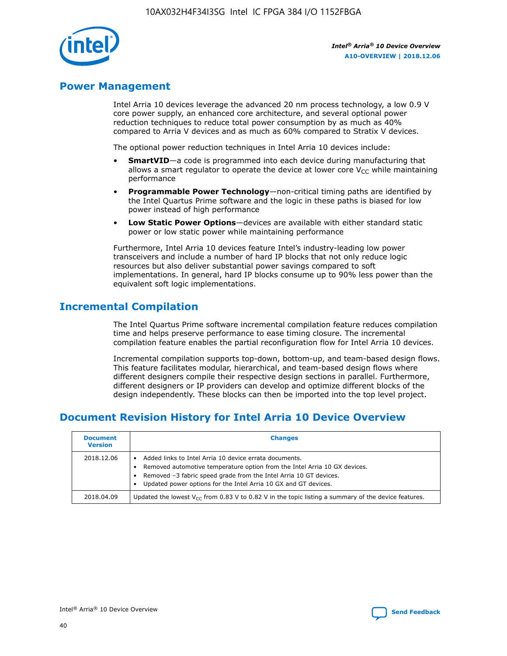![](_page_40_Picture_1.jpeg)

# **Power Management**

Intel Arria 10 devices leverage the advanced 20 nm process technology, a low 0.9 V core power supply, an enhanced core architecture, and several optional power reduction techniques to reduce total power consumption by as much as 40% compared to Arria V devices and as much as 60% compared to Stratix V devices.

The optional power reduction techniques in Intel Arria 10 devices include:

- **SmartVID**—a code is programmed into each device during manufacturing that allows a smart regulator to operate the device at lower core  $V_{CC}$  while maintaining performance
- **Programmable Power Technology**—non-critical timing paths are identified by the Intel Quartus Prime software and the logic in these paths is biased for low power instead of high performance
- **Low Static Power Options**—devices are available with either standard static power or low static power while maintaining performance

Furthermore, Intel Arria 10 devices feature Intel's industry-leading low power transceivers and include a number of hard IP blocks that not only reduce logic resources but also deliver substantial power savings compared to soft implementations. In general, hard IP blocks consume up to 90% less power than the equivalent soft logic implementations.

# **Incremental Compilation**

The Intel Quartus Prime software incremental compilation feature reduces compilation time and helps preserve performance to ease timing closure. The incremental compilation feature enables the partial reconfiguration flow for Intel Arria 10 devices.

Incremental compilation supports top-down, bottom-up, and team-based design flows. This feature facilitates modular, hierarchical, and team-based design flows where different designers compile their respective design sections in parallel. Furthermore, different designers or IP providers can develop and optimize different blocks of the design independently. These blocks can then be imported into the top level project.

# **Document Revision History for Intel Arria 10 Device Overview**

| <b>Document</b><br><b>Version</b> | <b>Changes</b>                                                                                                                                                                                                                                                              |
|-----------------------------------|-----------------------------------------------------------------------------------------------------------------------------------------------------------------------------------------------------------------------------------------------------------------------------|
| 2018.12.06                        | Added links to Intel Arria 10 device errata documents.<br>Removed automotive temperature option from the Intel Arria 10 GX devices.<br>Removed -3 fabric speed grade from the Intel Arria 10 GT devices.<br>Updated power options for the Intel Arria 10 GX and GT devices. |
| 2018.04.09                        | Updated the lowest $V_{CC}$ from 0.83 V to 0.82 V in the topic listing a summary of the device features.                                                                                                                                                                    |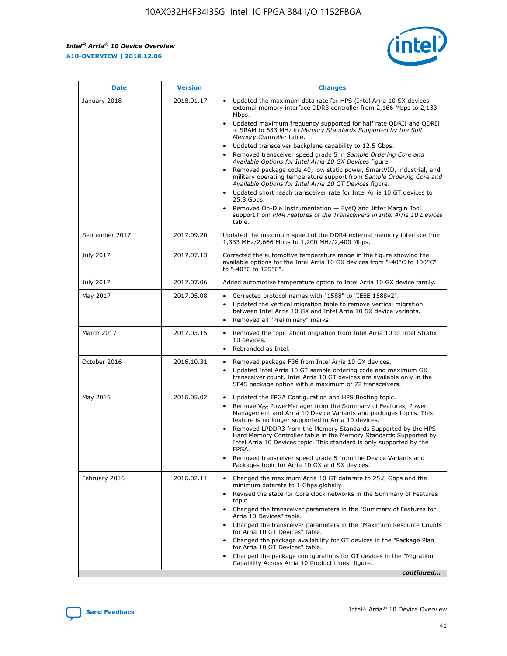*Intel® Arria® 10 Device Overview* **A10-OVERVIEW | 2018.12.06**

![](_page_41_Picture_2.jpeg)

| <b>Date</b>    | <b>Version</b> | <b>Changes</b>                                                                                                                                                                                                                                                                                                                                                                                                                                                                                                                                                                                                                                                                                                                                                                                                                                                                                                                                                            |
|----------------|----------------|---------------------------------------------------------------------------------------------------------------------------------------------------------------------------------------------------------------------------------------------------------------------------------------------------------------------------------------------------------------------------------------------------------------------------------------------------------------------------------------------------------------------------------------------------------------------------------------------------------------------------------------------------------------------------------------------------------------------------------------------------------------------------------------------------------------------------------------------------------------------------------------------------------------------------------------------------------------------------|
| January 2018   | 2018.01.17     | Updated the maximum data rate for HPS (Intel Arria 10 SX devices<br>external memory interface DDR3 controller from 2,166 Mbps to 2,133<br>Mbps.<br>Updated maximum frequency supported for half rate QDRII and QDRII<br>+ SRAM to 633 MHz in Memory Standards Supported by the Soft<br>Memory Controller table.<br>Updated transceiver backplane capability to 12.5 Gbps.<br>$\bullet$<br>Removed transceiver speed grade 5 in Sample Ordering Core and<br>Available Options for Intel Arria 10 GX Devices figure.<br>Removed package code 40, low static power, SmartVID, industrial, and<br>military operating temperature support from Sample Ordering Core and<br>Available Options for Intel Arria 10 GT Devices figure.<br>Updated short reach transceiver rate for Intel Arria 10 GT devices to<br>25.8 Gbps.<br>Removed On-Die Instrumentation - EyeQ and Jitter Margin Tool<br>support from PMA Features of the Transceivers in Intel Arria 10 Devices<br>table. |
| September 2017 | 2017.09.20     | Updated the maximum speed of the DDR4 external memory interface from<br>1,333 MHz/2,666 Mbps to 1,200 MHz/2,400 Mbps.                                                                                                                                                                                                                                                                                                                                                                                                                                                                                                                                                                                                                                                                                                                                                                                                                                                     |
| July 2017      | 2017.07.13     | Corrected the automotive temperature range in the figure showing the<br>available options for the Intel Arria 10 GX devices from "-40°C to 100°C"<br>to "-40°C to 125°C".                                                                                                                                                                                                                                                                                                                                                                                                                                                                                                                                                                                                                                                                                                                                                                                                 |
| July 2017      | 2017.07.06     | Added automotive temperature option to Intel Arria 10 GX device family.                                                                                                                                                                                                                                                                                                                                                                                                                                                                                                                                                                                                                                                                                                                                                                                                                                                                                                   |
| May 2017       | 2017.05.08     | Corrected protocol names with "1588" to "IEEE 1588v2".<br>$\bullet$<br>Updated the vertical migration table to remove vertical migration<br>$\bullet$<br>between Intel Arria 10 GX and Intel Arria 10 SX device variants.<br>Removed all "Preliminary" marks.<br>$\bullet$                                                                                                                                                                                                                                                                                                                                                                                                                                                                                                                                                                                                                                                                                                |
| March 2017     | 2017.03.15     | Removed the topic about migration from Intel Arria 10 to Intel Stratix<br>10 devices.<br>Rebranded as Intel.<br>$\bullet$                                                                                                                                                                                                                                                                                                                                                                                                                                                                                                                                                                                                                                                                                                                                                                                                                                                 |
| October 2016   | 2016.10.31     | Removed package F36 from Intel Arria 10 GX devices.<br>Updated Intel Arria 10 GT sample ordering code and maximum GX<br>$\bullet$<br>transceiver count. Intel Arria 10 GT devices are available only in the<br>SF45 package option with a maximum of 72 transceivers.                                                                                                                                                                                                                                                                                                                                                                                                                                                                                                                                                                                                                                                                                                     |
| May 2016       | 2016.05.02     | Updated the FPGA Configuration and HPS Booting topic.<br>$\bullet$<br>Remove V <sub>CC</sub> PowerManager from the Summary of Features, Power<br>Management and Arria 10 Device Variants and packages topics. This<br>feature is no longer supported in Arria 10 devices.<br>Removed LPDDR3 from the Memory Standards Supported by the HPS<br>Hard Memory Controller table in the Memory Standards Supported by<br>Intel Arria 10 Devices topic. This standard is only supported by the<br>FPGA.<br>Removed transceiver speed grade 5 from the Device Variants and<br>Packages topic for Arria 10 GX and SX devices.                                                                                                                                                                                                                                                                                                                                                      |
| February 2016  | 2016.02.11     | Changed the maximum Arria 10 GT datarate to 25.8 Gbps and the<br>minimum datarate to 1 Gbps globally.<br>Revised the state for Core clock networks in the Summary of Features<br>$\bullet$<br>topic.<br>Changed the transceiver parameters in the "Summary of Features for<br>$\bullet$<br>Arria 10 Devices" table.<br>• Changed the transceiver parameters in the "Maximum Resource Counts<br>for Arria 10 GT Devices" table.<br>Changed the package availability for GT devices in the "Package Plan<br>for Arria 10 GT Devices" table.<br>Changed the package configurations for GT devices in the "Migration"<br>Capability Across Arria 10 Product Lines" figure.<br>continued                                                                                                                                                                                                                                                                                       |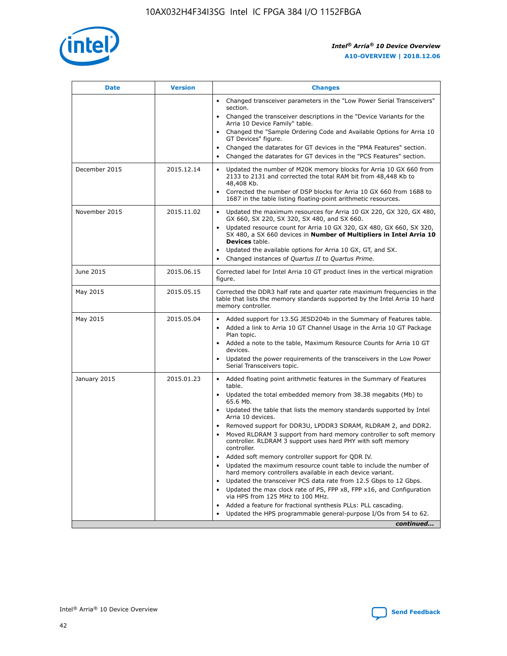![](_page_42_Picture_1.jpeg)

| <b>Date</b>   | <b>Version</b> | <b>Changes</b>                                                                                                                                                               |
|---------------|----------------|------------------------------------------------------------------------------------------------------------------------------------------------------------------------------|
|               |                | • Changed transceiver parameters in the "Low Power Serial Transceivers"<br>section.                                                                                          |
|               |                | • Changed the transceiver descriptions in the "Device Variants for the<br>Arria 10 Device Family" table.                                                                     |
|               |                | Changed the "Sample Ordering Code and Available Options for Arria 10<br>$\bullet$<br>GT Devices" figure.                                                                     |
|               |                | Changed the datarates for GT devices in the "PMA Features" section.                                                                                                          |
|               |                | Changed the datarates for GT devices in the "PCS Features" section.<br>$\bullet$                                                                                             |
| December 2015 | 2015.12.14     | Updated the number of M20K memory blocks for Arria 10 GX 660 from<br>2133 to 2131 and corrected the total RAM bit from 48,448 Kb to<br>48,408 Kb.                            |
|               |                | Corrected the number of DSP blocks for Arria 10 GX 660 from 1688 to<br>1687 in the table listing floating-point arithmetic resources.                                        |
| November 2015 | 2015.11.02     | Updated the maximum resources for Arria 10 GX 220, GX 320, GX 480,<br>$\bullet$<br>GX 660, SX 220, SX 320, SX 480, and SX 660.                                               |
|               |                | • Updated resource count for Arria 10 GX 320, GX 480, GX 660, SX 320,<br>SX 480, a SX 660 devices in Number of Multipliers in Intel Arria 10<br><b>Devices</b> table.        |
|               |                | Updated the available options for Arria 10 GX, GT, and SX.                                                                                                                   |
|               |                | Changed instances of Quartus II to Quartus Prime.<br>$\bullet$                                                                                                               |
| June 2015     | 2015.06.15     | Corrected label for Intel Arria 10 GT product lines in the vertical migration<br>figure.                                                                                     |
| May 2015      | 2015.05.15     | Corrected the DDR3 half rate and quarter rate maximum frequencies in the<br>table that lists the memory standards supported by the Intel Arria 10 hard<br>memory controller. |
| May 2015      | 2015.05.04     | • Added support for 13.5G JESD204b in the Summary of Features table.                                                                                                         |
|               |                | • Added a link to Arria 10 GT Channel Usage in the Arria 10 GT Package<br>Plan topic.                                                                                        |
|               |                | • Added a note to the table, Maximum Resource Counts for Arria 10 GT<br>devices.                                                                                             |
|               |                | • Updated the power requirements of the transceivers in the Low Power<br>Serial Transceivers topic.                                                                          |
| January 2015  | 2015.01.23     | • Added floating point arithmetic features in the Summary of Features<br>table.                                                                                              |
|               |                | • Updated the total embedded memory from 38.38 megabits (Mb) to<br>65.6 Mb.                                                                                                  |
|               |                | • Updated the table that lists the memory standards supported by Intel<br>Arria 10 devices.                                                                                  |
|               |                | Removed support for DDR3U, LPDDR3 SDRAM, RLDRAM 2, and DDR2.                                                                                                                 |
|               |                | Moved RLDRAM 3 support from hard memory controller to soft memory<br>controller. RLDRAM 3 support uses hard PHY with soft memory<br>controller.                              |
|               |                | Added soft memory controller support for QDR IV.<br>٠                                                                                                                        |
|               |                | Updated the maximum resource count table to include the number of<br>hard memory controllers available in each device variant.                                               |
|               |                | Updated the transceiver PCS data rate from 12.5 Gbps to 12 Gbps.<br>$\bullet$                                                                                                |
|               |                | Updated the max clock rate of PS, FPP x8, FPP x16, and Configuration<br>via HPS from 125 MHz to 100 MHz.                                                                     |
|               |                | Added a feature for fractional synthesis PLLs: PLL cascading.                                                                                                                |
|               |                | Updated the HPS programmable general-purpose I/Os from 54 to 62.<br>$\bullet$                                                                                                |
|               |                | continued                                                                                                                                                                    |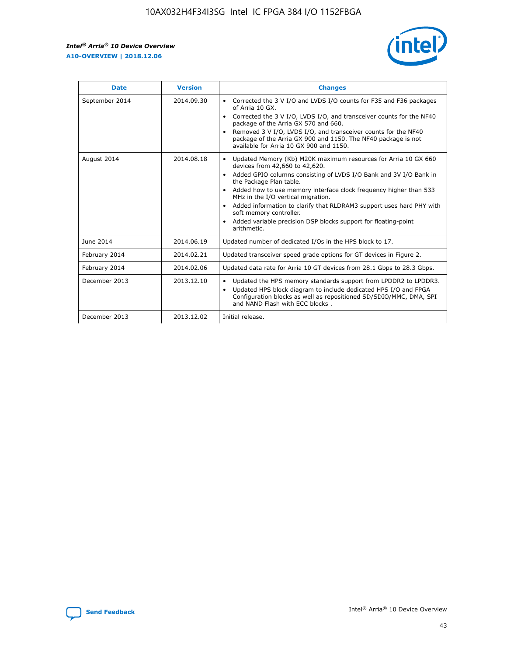r

![](_page_43_Picture_2.jpeg)

| <b>Date</b>    | <b>Version</b> | <b>Changes</b>                                                                                                                                                                                                                                                                                                                                                                                                                                                                                                                         |
|----------------|----------------|----------------------------------------------------------------------------------------------------------------------------------------------------------------------------------------------------------------------------------------------------------------------------------------------------------------------------------------------------------------------------------------------------------------------------------------------------------------------------------------------------------------------------------------|
| September 2014 | 2014.09.30     | Corrected the 3 V I/O and LVDS I/O counts for F35 and F36 packages<br>of Arria 10 GX.<br>Corrected the 3 V I/O, LVDS I/O, and transceiver counts for the NF40<br>$\bullet$<br>package of the Arria GX 570 and 660.<br>Removed 3 V I/O, LVDS I/O, and transceiver counts for the NF40<br>package of the Arria GX 900 and 1150. The NF40 package is not<br>available for Arria 10 GX 900 and 1150.                                                                                                                                       |
| August 2014    | 2014.08.18     | Updated Memory (Kb) M20K maximum resources for Arria 10 GX 660<br>devices from 42,660 to 42,620.<br>Added GPIO columns consisting of LVDS I/O Bank and 3V I/O Bank in<br>$\bullet$<br>the Package Plan table.<br>Added how to use memory interface clock frequency higher than 533<br>$\bullet$<br>MHz in the I/O vertical migration.<br>Added information to clarify that RLDRAM3 support uses hard PHY with<br>$\bullet$<br>soft memory controller.<br>Added variable precision DSP blocks support for floating-point<br>arithmetic. |
| June 2014      | 2014.06.19     | Updated number of dedicated I/Os in the HPS block to 17.                                                                                                                                                                                                                                                                                                                                                                                                                                                                               |
| February 2014  | 2014.02.21     | Updated transceiver speed grade options for GT devices in Figure 2.                                                                                                                                                                                                                                                                                                                                                                                                                                                                    |
| February 2014  | 2014.02.06     | Updated data rate for Arria 10 GT devices from 28.1 Gbps to 28.3 Gbps.                                                                                                                                                                                                                                                                                                                                                                                                                                                                 |
| December 2013  | 2013.12.10     | Updated the HPS memory standards support from LPDDR2 to LPDDR3.<br>Updated HPS block diagram to include dedicated HPS I/O and FPGA<br>$\bullet$<br>Configuration blocks as well as repositioned SD/SDIO/MMC, DMA, SPI<br>and NAND Flash with ECC blocks.                                                                                                                                                                                                                                                                               |
| December 2013  | 2013.12.02     | Initial release.                                                                                                                                                                                                                                                                                                                                                                                                                                                                                                                       |

![](_page_43_Picture_4.jpeg)